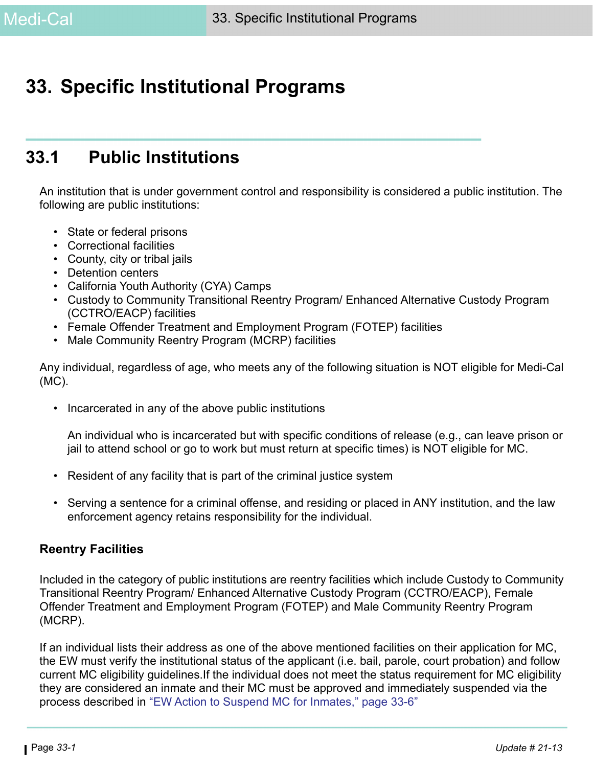# **33. Specific Institutional Programs**

# **33.1 Public Institutions**

An institution that is under government control and responsibility is considered a public institution. The following are public institutions:

- State or federal prisons
- Correctional facilities
- County, city or tribal jails
- Detention centers
- California Youth Authority (CYA) Camps
- Custody to Community Transitional Reentry Program/ Enhanced Alternative Custody Program (CCTRO/EACP) facilities
- Female Offender Treatment and Employment Program (FOTEP) facilities
- Male Community Reentry Program (MCRP) facilities

Any individual, regardless of age, who meets any of the following situation is NOT eligible for Medi-Cal (MC).

• Incarcerated in any of the above public institutions

An individual who is incarcerated but with specific conditions of release (e.g., can leave prison or jail to attend school or go to work but must return at specific times) is NOT eligible for MC.

- Resident of any facility that is part of the criminal justice system
- Serving a sentence for a criminal offense, and residing or placed in ANY institution, and the law enforcement agency retains responsibility for the individual.

#### **Reentry Facilities**

Included in the category of public institutions are reentry facilities which include Custody to Community Transitional Reentry Program/ Enhanced Alternative Custody Program (CCTRO/EACP), Female Offender Treatment and Employment Program (FOTEP) and Male Community Reentry Program (MCRP).

If an individual lists their address as one of the above mentioned facilities on their application for MC, the EW must verify the institutional status of the applicant (i.e. bail, parole, court probation) and follow current MC eligibility guidelines.If the individual does not meet the status requirement for MC eligibility they are considered an inmate and their MC must be approved and immediately suspended via the process described in ["EW Action to Suspend MC for Inmates," page 33-6"](#page-5-0)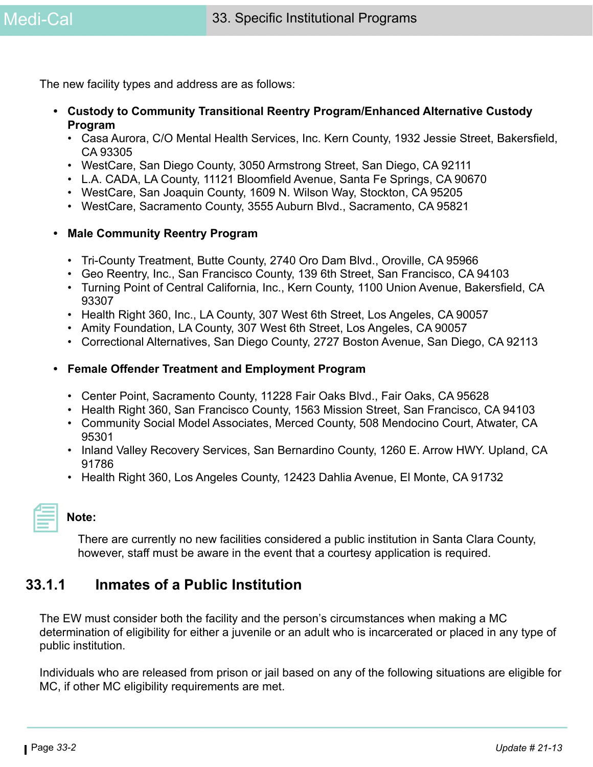The new facility types and address are as follows:

- **Custody to Community Transitional Reentry Program/Enhanced Alternative Custody Program**
	- Casa Aurora, C/O Mental Health Services, Inc. Kern County, 1932 Jessie Street, Bakersfield, CA 93305
	- WestCare, San Diego County, 3050 Armstrong Street, San Diego, CA 92111
	- L.A. CADA, LA County, 11121 Bloomfield Avenue, Santa Fe Springs, CA 90670
	- WestCare, San Joaquin County, 1609 N. Wilson Way, Stockton, CA 95205
	- WestCare, Sacramento County, 3555 Auburn Blvd., Sacramento, CA 95821

#### **• Male Community Reentry Program**

- Tri-County Treatment, Butte County, 2740 Oro Dam Blvd., Oroville, CA 95966
- Geo Reentry, Inc., San Francisco County, 139 6th Street, San Francisco, CA 94103
- Turning Point of Central California, Inc., Kern County, 1100 Union Avenue, Bakersfield, CA 93307
- Health Right 360, Inc., LA County, 307 West 6th Street, Los Angeles, CA 90057
- Amity Foundation, LA County, 307 West 6th Street, Los Angeles, CA 90057
- Correctional Alternatives, San Diego County, 2727 Boston Avenue, San Diego, CA 92113

#### **• Female Offender Treatment and Employment Program**

- Center Point, Sacramento County, 11228 Fair Oaks Blvd., Fair Oaks, CA 95628
- Health Right 360, San Francisco County, 1563 Mission Street, San Francisco, CA 94103
- Community Social Model Associates, Merced County, 508 Mendocino Court, Atwater, CA 95301
- Inland Valley Recovery Services, San Bernardino County, 1260 E. Arrow HWY. Upland, CA 91786
- Health Right 360, Los Angeles County, 12423 Dahlia Avenue, El Monte, CA 91732

#### **Note:**

There are currently no new facilities considered a public institution in Santa Clara County, however, staff must be aware in the event that a courtesy application is required.

### **33.1.1 Inmates of a Public Institution**

The EW must consider both the facility and the person's circumstances when making a MC determination of eligibility for either a juvenile or an adult who is incarcerated or placed in any type of public institution.

Individuals who are released from prison or jail based on any of the following situations are eligible for MC, if other MC eligibility requirements are met.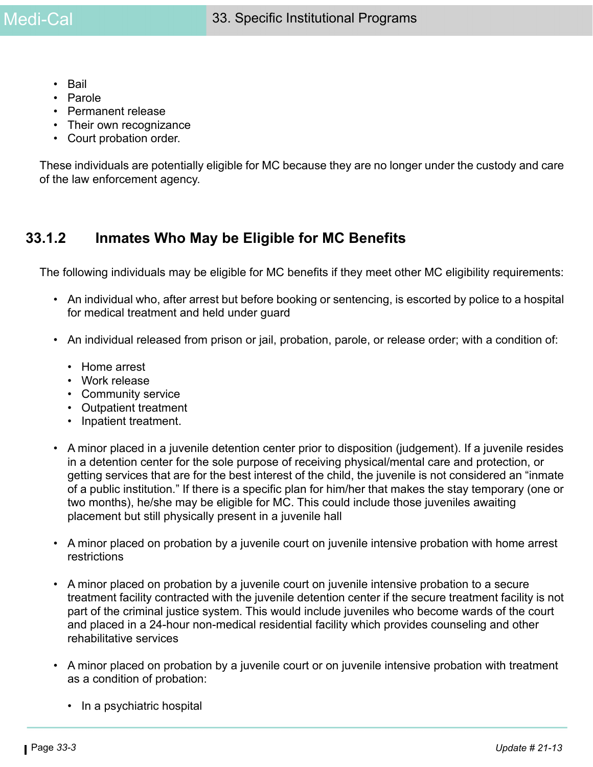- Bail
- Parole
- Permanent release
- Their own recognizance
- Court probation order.

These individuals are potentially eligible for MC because they are no longer under the custody and care of the law enforcement agency.

### **33.1.2 Inmates Who May be Eligible for MC Benefits**

The following individuals may be eligible for MC benefits if they meet other MC eligibility requirements:

- An individual who, after arrest but before booking or sentencing, is escorted by police to a hospital for medical treatment and held under guard
- An individual released from prison or jail, probation, parole, or release order; with a condition of:
	- Home arrest
	- Work release
	- Community service
	- Outpatient treatment
	- Inpatient treatment.
- A minor placed in a juvenile detention center prior to disposition (judgement). If a juvenile resides in a detention center for the sole purpose of receiving physical/mental care and protection, or getting services that are for the best interest of the child, the juvenile is not considered an "inmate of a public institution." If there is a specific plan for him/her that makes the stay temporary (one or two months), he/she may be eligible for MC. This could include those juveniles awaiting placement but still physically present in a juvenile hall
- A minor placed on probation by a juvenile court on juvenile intensive probation with home arrest restrictions
- A minor placed on probation by a juvenile court on juvenile intensive probation to a secure treatment facility contracted with the juvenile detention center if the secure treatment facility is not part of the criminal justice system. This would include juveniles who become wards of the court and placed in a 24-hour non-medical residential facility which provides counseling and other rehabilitative services
- A minor placed on probation by a juvenile court or on juvenile intensive probation with treatment as a condition of probation:
	- In a psychiatric hospital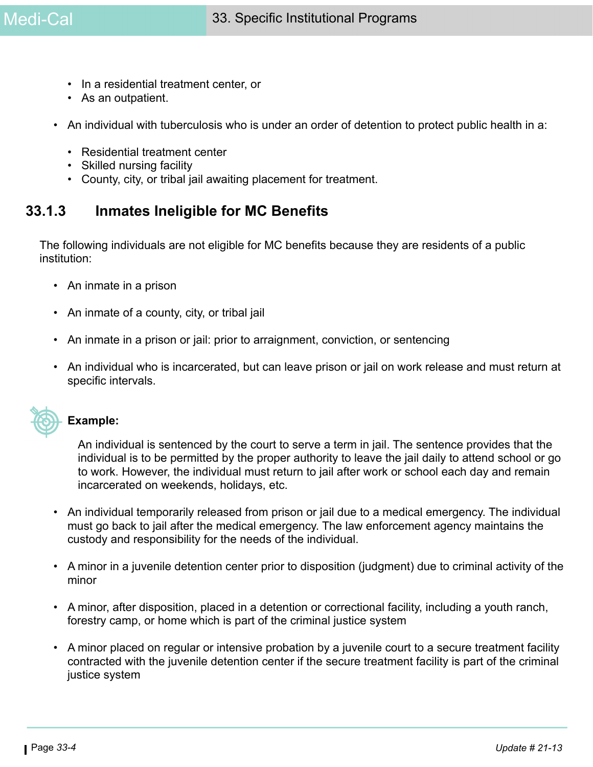- In a residential treatment center, or
- As an outpatient.
- An individual with tuberculosis who is under an order of detention to protect public health in a:
	- Residential treatment center
	- Skilled nursing facility
	- County, city, or tribal jail awaiting placement for treatment.

## **33.1.3 Inmates Ineligible for MC Benefits**

The following individuals are not eligible for MC benefits because they are residents of a public institution:

- An inmate in a prison
- An inmate of a county, city, or tribal jail
- An inmate in a prison or jail: prior to arraignment, conviction, or sentencing
- An individual who is incarcerated, but can leave prison or jail on work release and must return at specific intervals.



#### **Example:**

An individual is sentenced by the court to serve a term in jail. The sentence provides that the individual is to be permitted by the proper authority to leave the jail daily to attend school or go to work. However, the individual must return to jail after work or school each day and remain incarcerated on weekends, holidays, etc.

- An individual temporarily released from prison or jail due to a medical emergency. The individual must go back to jail after the medical emergency. The law enforcement agency maintains the custody and responsibility for the needs of the individual.
- A minor in a juvenile detention center prior to disposition (judgment) due to criminal activity of the minor
- A minor, after disposition, placed in a detention or correctional facility, including a youth ranch, forestry camp, or home which is part of the criminal justice system
- A minor placed on regular or intensive probation by a juvenile court to a secure treatment facility contracted with the juvenile detention center if the secure treatment facility is part of the criminal justice system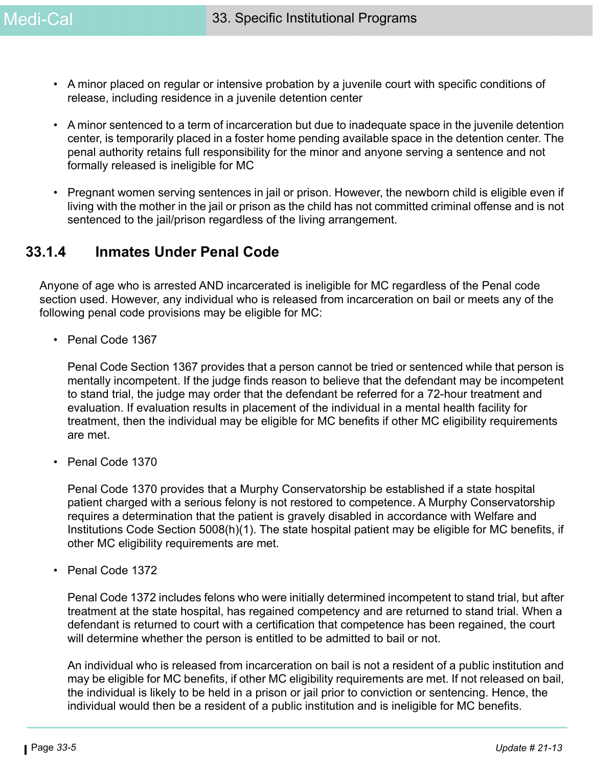- A minor placed on regular or intensive probation by a juvenile court with specific conditions of release, including residence in a juvenile detention center
- A minor sentenced to a term of incarceration but due to inadequate space in the juvenile detention center, is temporarily placed in a foster home pending available space in the detention center. The penal authority retains full responsibility for the minor and anyone serving a sentence and not formally released is ineligible for MC
- Pregnant women serving sentences in jail or prison. However, the newborn child is eligible even if living with the mother in the jail or prison as the child has not committed criminal offense and is not sentenced to the jail/prison regardless of the living arrangement.

### **33.1.4 Inmates Under Penal Code**

Anyone of age who is arrested AND incarcerated is ineligible for MC regardless of the Penal code section used. However, any individual who is released from incarceration on bail or meets any of the following penal code provisions may be eligible for MC:

• Penal Code 1367

Penal Code Section 1367 provides that a person cannot be tried or sentenced while that person is mentally incompetent. If the judge finds reason to believe that the defendant may be incompetent to stand trial, the judge may order that the defendant be referred for a 72-hour treatment and evaluation. If evaluation results in placement of the individual in a mental health facility for treatment, then the individual may be eligible for MC benefits if other MC eligibility requirements are met.

• Penal Code 1370

Penal Code 1370 provides that a Murphy Conservatorship be established if a state hospital patient charged with a serious felony is not restored to competence. A Murphy Conservatorship requires a determination that the patient is gravely disabled in accordance with Welfare and Institutions Code Section 5008(h)(1). The state hospital patient may be eligible for MC benefits, if other MC eligibility requirements are met.

• Penal Code 1372

Penal Code 1372 includes felons who were initially determined incompetent to stand trial, but after treatment at the state hospital, has regained competency and are returned to stand trial. When a defendant is returned to court with a certification that competence has been regained, the court will determine whether the person is entitled to be admitted to bail or not.

An individual who is released from incarceration on bail is not a resident of a public institution and may be eligible for MC benefits, if other MC eligibility requirements are met. If not released on bail, the individual is likely to be held in a prison or jail prior to conviction or sentencing. Hence, the individual would then be a resident of a public institution and is ineligible for MC benefits.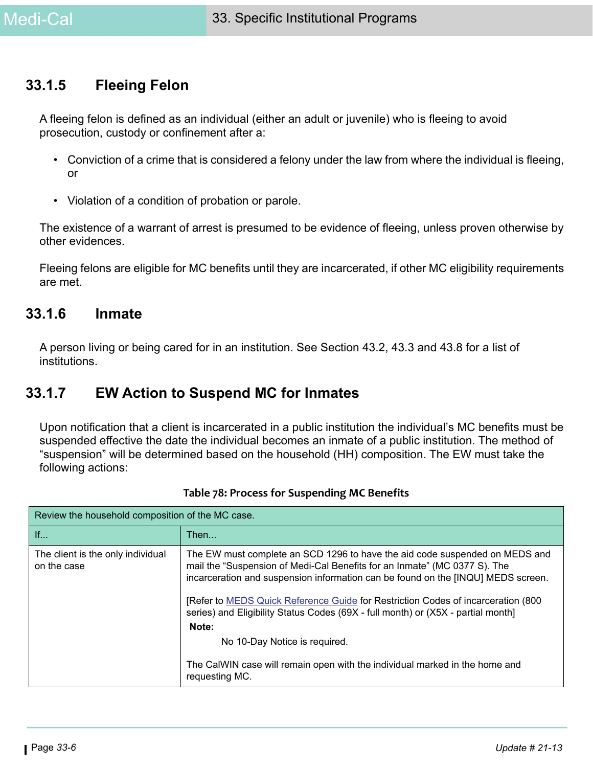### **33.1.5 Fleeing Felon**

A fleeing felon is defined as an individual (either an adult or juvenile) who is fleeing to avoid prosecution, custody or confinement after a:

- Conviction of a crime that is considered a felony under the law from where the individual is fleeing, or
- Violation of a condition of probation or parole.

The existence of a warrant of arrest is presumed to be evidence of fleeing, unless proven otherwise by other evidences.

Fleeing felons are eligible for MC benefits until they are incarcerated, if other MC eligibility requirements are met.

### **33.1.6 Inmate**

A person living or being cared for in an institution. See Section 43.2, 43.3 and 43.8 for a list of institutions.

### <span id="page-5-0"></span>**33.1.7 EW Action to Suspend MC for Inmates**

Upon notification that a client is incarcerated in a public institution the individual's MC benefits must be suspended effective the date the individual becomes an inmate of a public institution. The method of "suspension" will be determined based on the household (HH) composition. The EW must take the following actions:

| Review the household composition of the MC case. |                                                                                                                                                                                                                                                                                                                                                                                                                                |  |
|--------------------------------------------------|--------------------------------------------------------------------------------------------------------------------------------------------------------------------------------------------------------------------------------------------------------------------------------------------------------------------------------------------------------------------------------------------------------------------------------|--|
| If                                               | Then                                                                                                                                                                                                                                                                                                                                                                                                                           |  |
| The client is the only individual<br>on the case | The EW must complete an SCD 1296 to have the aid code suspended on MEDS and<br>mail the "Suspension of Medi-Cal Benefits for an Inmate" (MC 0377 S). The<br>incarceration and suspension information can be found on the [INQU] MEDS screen.<br>[Refer to MEDS Quick Reference Guide for Restriction Codes of incarceration (800)<br>series) and Eligibility Status Codes (69X - full month) or (X5X - partial month]<br>Note: |  |
|                                                  | No 10-Day Notice is required.                                                                                                                                                                                                                                                                                                                                                                                                  |  |
|                                                  | The CalWIN case will remain open with the individual marked in the home and<br>requesting MC.                                                                                                                                                                                                                                                                                                                                  |  |

**Table 78: Process for Suspending MC Benefits**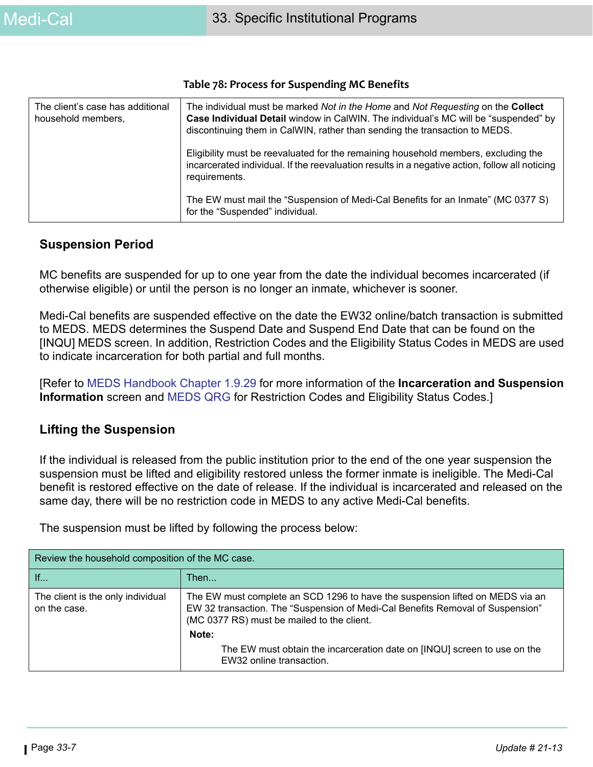| The client's case has additional<br>household members, | The individual must be marked <i>Not in the Home</i> and <i>Not Requesting</i> on the <b>Collect</b><br>Case Individual Detail window in CalWIN. The individual's MC will be "suspended" by<br>discontinuing them in CalWIN, rather than sending the transaction to MEDS. |
|--------------------------------------------------------|---------------------------------------------------------------------------------------------------------------------------------------------------------------------------------------------------------------------------------------------------------------------------|
|                                                        | Eligibility must be reevaluated for the remaining household members, excluding the<br>incarcerated individual. If the reevaluation results in a negative action, follow all noticing<br>requirements.                                                                     |
|                                                        | The EW must mail the "Suspension of Medi-Cal Benefits for an Inmate" (MC 0377 S)<br>for the "Suspended" individual.                                                                                                                                                       |

#### **Table 78: Process for Suspending MC Benefits**

#### **Suspension Period**

MC benefits are suspended for up to one year from the date the individual becomes incarcerated (if otherwise eligible) or until the person is no longer an inmate, whichever is sooner.

Medi-Cal benefits are suspended effective on the date the EW32 online/batch transaction is submitted to MEDS. MEDS determines the Suspend Date and Suspend End Date that can be found on the [INQU] MEDS screen. In addition, Restriction Codes and the Eligibility Status Codes in MEDS are used to indicate incarceration for both partial and full months.

[Refer to [M](https://ssaconnect.sccgov.org/ssa_departments/debs_program/Documents/handbooks/ugss/ugchap01.pdf)EDS Handbook Chapter 1.9.29 for more information of the **Incarceration and Suspension Information** screen and [MEDS QRG](https://ssaconnect.sccgov.org/ssa_departments/debs_program/Documents/reference_materials/meds.qrg.pdf) for Restriction Codes and Eligibility Status Codes.]

#### **Lifting the Suspension**

If the individual is released from the public institution prior to the end of the one year suspension the suspension must be lifted and eligibility restored unless the former inmate is ineligible. The Medi-Cal benefit is restored effective on the date of release. If the individual is incarcerated and released on the same day, there will be no restriction code in MEDS to any active Medi-Cal benefits.

The suspension must be lifted by following the process below:

| Review the household composition of the MC case.  |                                                                                                                                                                                                               |  |
|---------------------------------------------------|---------------------------------------------------------------------------------------------------------------------------------------------------------------------------------------------------------------|--|
| If                                                | Then                                                                                                                                                                                                          |  |
| The client is the only individual<br>on the case. | The EW must complete an SCD 1296 to have the suspension lifted on MEDS via an<br>EW 32 transaction. The "Suspension of Medi-Cal Benefits Removal of Suspension"<br>(MC 0377 RS) must be mailed to the client. |  |
|                                                   | Note:<br>The EW must obtain the incarceration date on [INQU] screen to use on the<br>EW32 online transaction.                                                                                                 |  |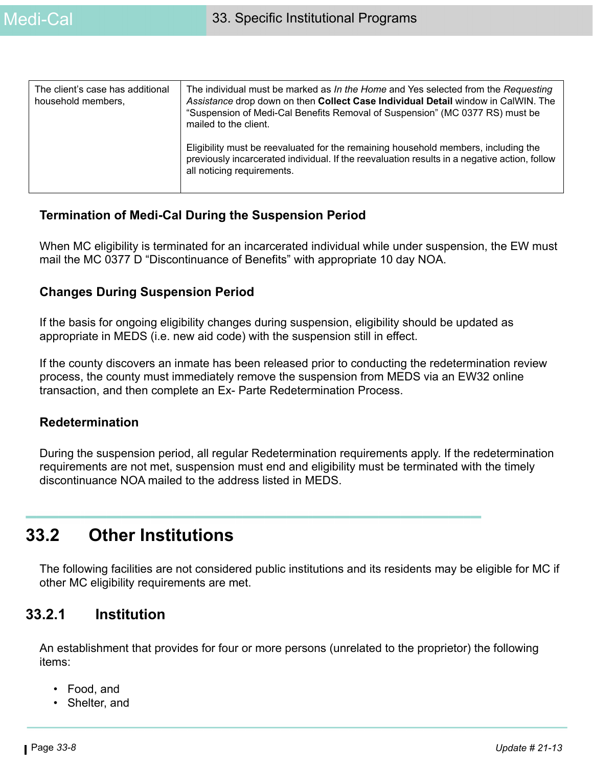| The client's case has additional<br>household members, | The individual must be marked as In the Home and Yes selected from the Requesting<br>Assistance drop down on then Collect Case Individual Detail window in CalWIN. The<br>"Suspension of Medi-Cal Benefits Removal of Suspension" (MC 0377 RS) must be<br>mailed to the client. |
|--------------------------------------------------------|---------------------------------------------------------------------------------------------------------------------------------------------------------------------------------------------------------------------------------------------------------------------------------|
|                                                        | Eligibility must be reevaluated for the remaining household members, including the<br>previously incarcerated individual. If the reevaluation results in a negative action, follow<br>all noticing requirements.                                                                |

#### **Termination of Medi-Cal During the Suspension Period**

When MC eligibility is terminated for an incarcerated individual while under suspension, the EW must mail the MC 0377 D "Discontinuance of Benefits" with appropriate 10 day NOA.

#### **Changes During Suspension Period**

If the basis for ongoing eligibility changes during suspension, eligibility should be updated as appropriate in MEDS (i.e. new aid code) with the suspension still in effect.

If the county discovers an inmate has been released prior to conducting the redetermination review process, the county must immediately remove the suspension from MEDS via an EW32 online transaction, and then complete an Ex- Parte Redetermination Process.

#### **Redetermination**

During the suspension period, all regular Redetermination requirements apply. If the redetermination requirements are not met, suspension must end and eligibility must be terminated with the timely discontinuance NOA mailed to the address listed in MEDS.

# **33.2 Other Institutions**

The following facilities are not considered public institutions and its residents may be eligible for MC if other MC eligibility requirements are met.

### **33.2.1 Institution**

An establishment that provides for four or more persons (unrelated to the proprietor) the following items:

- Food, and
- Shelter, and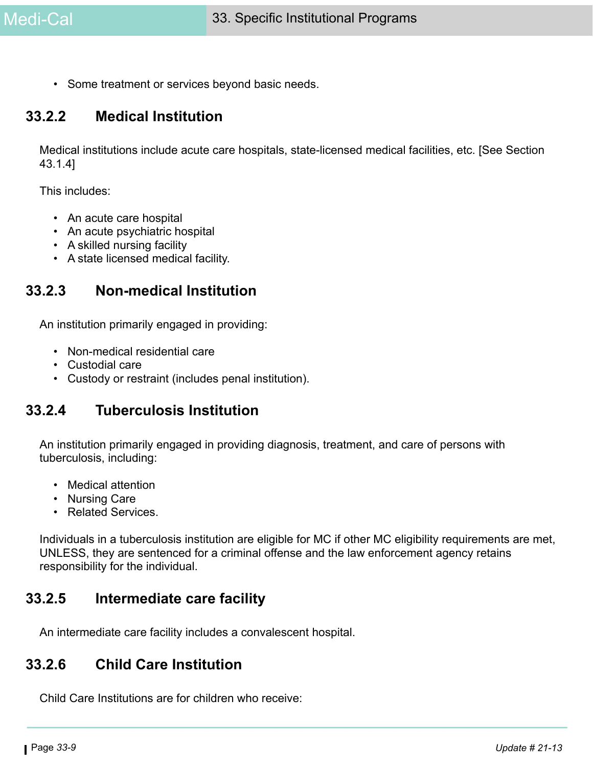• Some treatment or services beyond basic needs.

### **33.2.2 Medical Institution**

Medical institutions include acute care hospitals, state-licensed medical facilities, etc. [See Section 43.1.4]

This includes:

- An acute care hospital
- An acute psychiatric hospital
- A skilled nursing facility
- A state licensed medical facility.

### **33.2.3 Non-medical Institution**

An institution primarily engaged in providing:

- Non-medical residential care
- Custodial care
- Custody or restraint (includes penal institution).

### **33.2.4 Tuberculosis Institution**

An institution primarily engaged in providing diagnosis, treatment, and care of persons with tuberculosis, including:

- Medical attention
- Nursing Care
- Related Services.

Individuals in a tuberculosis institution are eligible for MC if other MC eligibility requirements are met, UNLESS, they are sentenced for a criminal offense and the law enforcement agency retains responsibility for the individual.

### **33.2.5 Intermediate care facility**

An intermediate care facility includes a convalescent hospital.

### **33.2.6 Child Care Institution**

Child Care Institutions are for children who receive: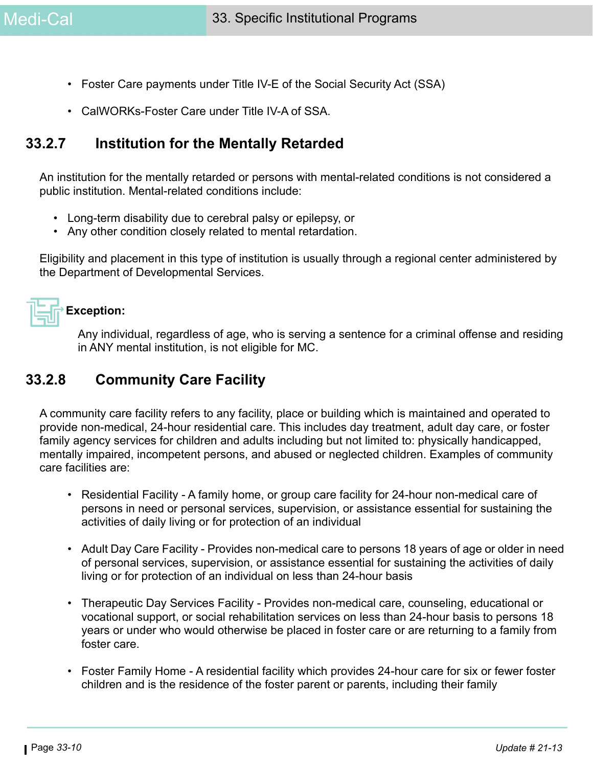- Foster Care payments under Title IV-E of the Social Security Act (SSA)
- CalWORKs-Foster Care under Title IV-A of SSA.

### **33.2.7 Institution for the Mentally Retarded**

An institution for the mentally retarded or persons with mental-related conditions is not considered a public institution. Mental-related conditions include:

- Long-term disability due to cerebral palsy or epilepsy, or
- Any other condition closely related to mental retardation.

Eligibility and placement in this type of institution is usually through a regional center administered by the Department of Developmental Services.



#### **Exception:**

Any individual, regardless of age, who is serving a sentence for a criminal offense and residing in ANY mental institution, is not eligible for MC.

### **33.2.8 Community Care Facility**

A community care facility refers to any facility, place or building which is maintained and operated to provide non-medical, 24-hour residential care. This includes day treatment, adult day care, or foster family agency services for children and adults including but not limited to: physically handicapped, mentally impaired, incompetent persons, and abused or neglected children. Examples of community care facilities are:

- Residential Facility A family home, or group care facility for 24-hour non-medical care of persons in need or personal services, supervision, or assistance essential for sustaining the activities of daily living or for protection of an individual
- Adult Day Care Facility Provides non-medical care to persons 18 years of age or older in need of personal services, supervision, or assistance essential for sustaining the activities of daily living or for protection of an individual on less than 24-hour basis
- Therapeutic Day Services Facility Provides non-medical care, counseling, educational or vocational support, or social rehabilitation services on less than 24-hour basis to persons 18 years or under who would otherwise be placed in foster care or are returning to a family from foster care.
- Foster Family Home A residential facility which provides 24-hour care for six or fewer foster children and is the residence of the foster parent or parents, including their family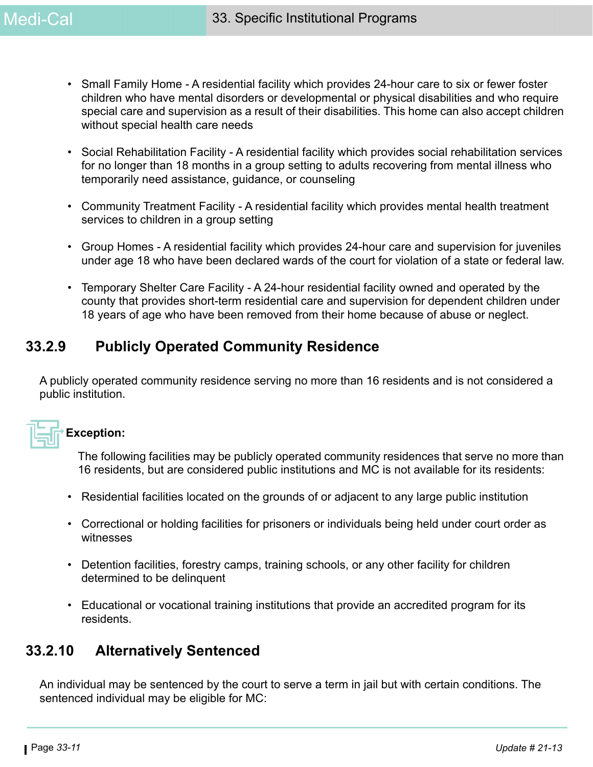- Small Family Home A residential facility which provides 24-hour care to six or fewer foster children who have mental disorders or developmental or physical disabilities and who require special care and supervision as a result of their disabilities. This home can also accept children without special health care needs
- Social Rehabilitation Facility A residential facility which provides social rehabilitation services for no longer than 18 months in a group setting to adults recovering from mental illness who temporarily need assistance, guidance, or counseling
- Community Treatment Facility A residential facility which provides mental health treatment services to children in a group setting
- Group Homes A residential facility which provides 24-hour care and supervision for juveniles under age 18 who have been declared wards of the court for violation of a state or federal law.
- Temporary Shelter Care Facility A 24-hour residential facility owned and operated by the county that provides short-term residential care and supervision for dependent children under 18 years of age who have been removed from their home because of abuse or neglect.

### **33.2.9 Publicly Operated Community Residence**

A publicly operated community residence serving no more than 16 residents and is not considered a public institution.



#### **Exception:**

The following facilities may be publicly operated community residences that serve no more than 16 residents, but are considered public institutions and MC is not available for its residents:

- Residential facilities located on the grounds of or adjacent to any large public institution
- Correctional or holding facilities for prisoners or individuals being held under court order as witnesses
- Detention facilities, forestry camps, training schools, or any other facility for children determined to be delinquent
- Educational or vocational training institutions that provide an accredited program for its residents.

### **33.2.10 Alternatively Sentenced**

An individual may be sentenced by the court to serve a term in jail but with certain conditions. The sentenced individual may be eligible for MC: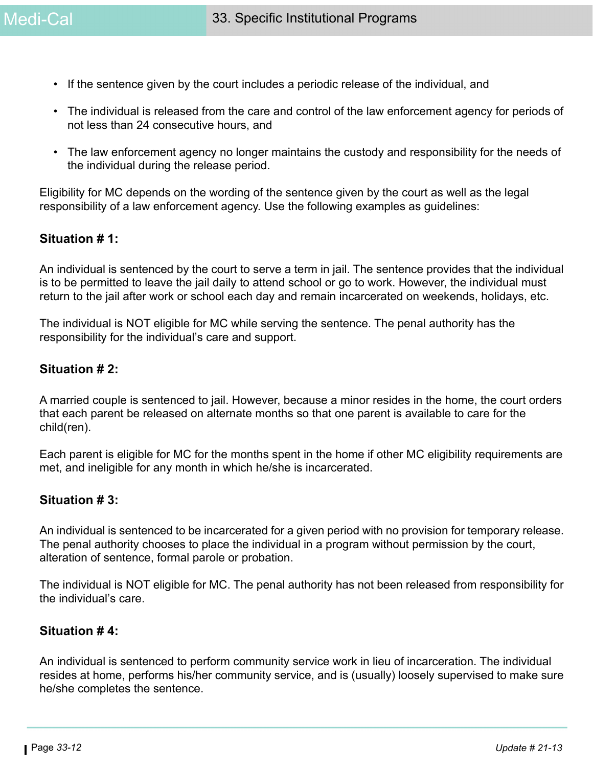- If the sentence given by the court includes a periodic release of the individual, and
- The individual is released from the care and control of the law enforcement agency for periods of not less than 24 consecutive hours, and
- The law enforcement agency no longer maintains the custody and responsibility for the needs of the individual during the release period.

Eligibility for MC depends on the wording of the sentence given by the court as well as the legal responsibility of a law enforcement agency. Use the following examples as guidelines:

#### **Situation # 1:**

An individual is sentenced by the court to serve a term in jail. The sentence provides that the individual is to be permitted to leave the jail daily to attend school or go to work. However, the individual must return to the jail after work or school each day and remain incarcerated on weekends, holidays, etc.

The individual is NOT eligible for MC while serving the sentence. The penal authority has the responsibility for the individual's care and support.

#### **Situation # 2:**

A married couple is sentenced to jail. However, because a minor resides in the home, the court orders that each parent be released on alternate months so that one parent is available to care for the child(ren).

Each parent is eligible for MC for the months spent in the home if other MC eligibility requirements are met, and ineligible for any month in which he/she is incarcerated.

#### **Situation # 3:**

An individual is sentenced to be incarcerated for a given period with no provision for temporary release. The penal authority chooses to place the individual in a program without permission by the court, alteration of sentence, formal parole or probation.

The individual is NOT eligible for MC. The penal authority has not been released from responsibility for the individual's care.

#### **Situation # 4:**

An individual is sentenced to perform community service work in lieu of incarceration. The individual resides at home, performs his/her community service, and is (usually) loosely supervised to make sure he/she completes the sentence.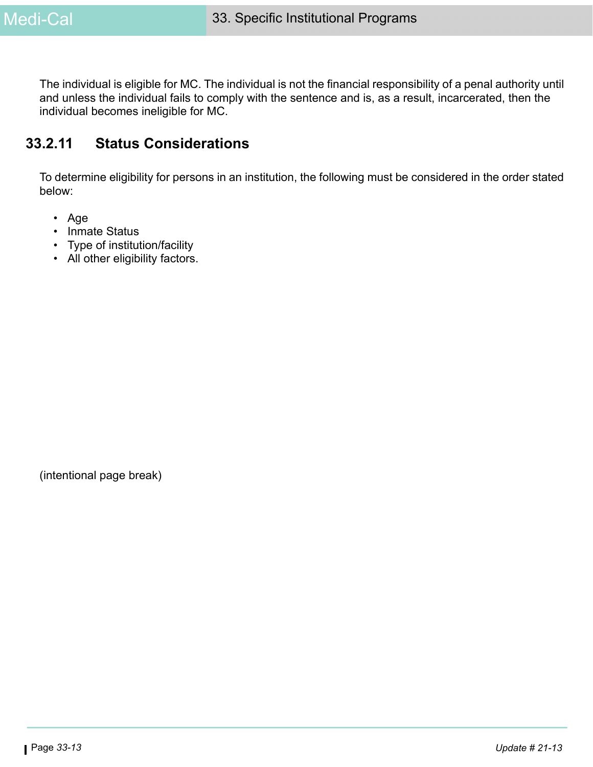The individual is eligible for MC. The individual is not the financial responsibility of a penal authority until and unless the individual fails to comply with the sentence and is, as a result, incarcerated, then the individual becomes ineligible for MC.

### **33.2.11 Status Considerations**

To determine eligibility for persons in an institution, the following must be considered in the order stated below:

- Age
- Inmate Status
- Type of institution/facility
- All other eligibility factors.

(intentional page break)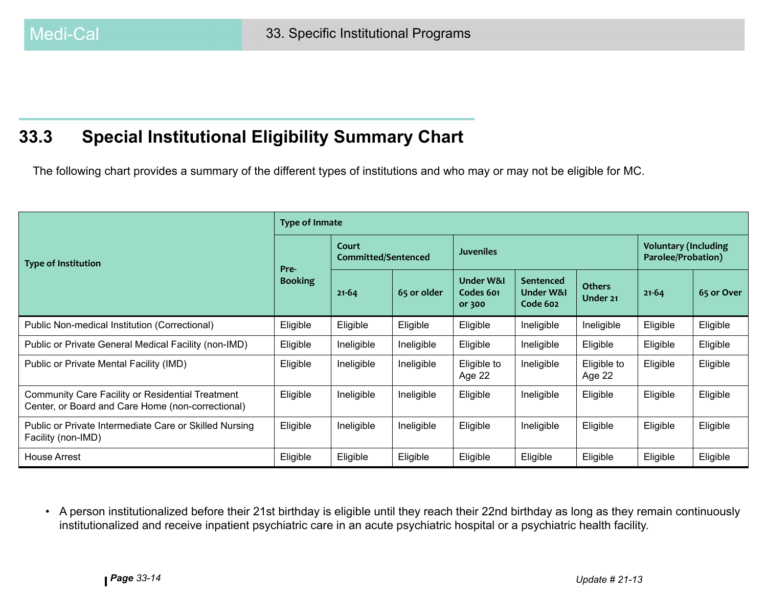# **33.3 Special Institutional Eligibility Summary Chart**

The following chart provides a summary of the different types of institutions and who may or may not be eligible for MC.

|                                                                                                              | <b>Type of Inmate</b> |                                     |             |                                             |                                    |                           |                                                   |            |
|--------------------------------------------------------------------------------------------------------------|-----------------------|-------------------------------------|-------------|---------------------------------------------|------------------------------------|---------------------------|---------------------------------------------------|------------|
| <b>Type of Institution</b>                                                                                   | Pre-                  | Court<br><b>Committed/Sentenced</b> |             | <b>Juveniles</b>                            |                                    |                           | <b>Voluntary (Including</b><br>Parolee/Probation) |            |
|                                                                                                              | <b>Booking</b>        | $21 - 64$                           | 65 or older | <b>Under W&amp;I</b><br>Codes 601<br>or 300 | Sentenced<br>Under W&I<br>Code 602 | <b>Others</b><br>Under 21 | $21 - 64$                                         | 65 or Over |
| Public Non-medical Institution (Correctional)                                                                | Eligible              | Eligible                            | Eligible    | Eligible                                    | Ineligible                         | Ineligible                | Eligible                                          | Eligible   |
| Public or Private General Medical Facility (non-IMD)                                                         | Eligible              | Ineligible                          | Ineligible  | Eligible                                    | Ineligible                         | Eligible                  | Eligible                                          | Eligible   |
| Public or Private Mental Facility (IMD)                                                                      | Eligible              | Ineligible                          | Ineligible  | Eligible to<br>Age 22                       | Ineligible                         | Eligible to<br>Age 22     | Eligible                                          | Eligible   |
| <b>Community Care Facility or Residential Treatment</b><br>Center, or Board and Care Home (non-correctional) | Eligible              | Ineligible                          | Ineligible  | Eligible                                    | Ineligible                         | Eligible                  | Eligible                                          | Eligible   |
| Public or Private Intermediate Care or Skilled Nursing<br>Facility (non-IMD)                                 | Eligible              | Ineligible                          | Ineligible  | Eligible                                    | Ineligible                         | Eligible                  | Eligible                                          | Eligible   |
| <b>House Arrest</b>                                                                                          | Eligible              | Eligible                            | Eligible    | Eligible                                    | Eligible                           | Eligible                  | Eligible                                          | Eligible   |

• A person institutionalized before their 21st birthday is eligible until they reach their 22nd birthday as long as they remain continuously institutionalized and receive inpatient psychiatric care in an acute psychiatric hospital or a psychiatric health facility.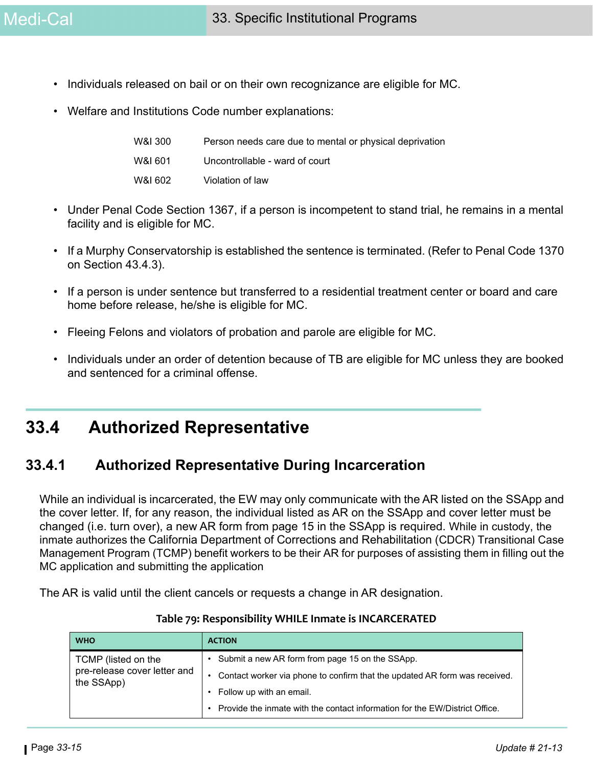- Individuals released on bail or on their own recognizance are eligible for MC.
- Welfare and Institutions Code number explanations:

| W&I 300 | Person needs care due to mental or physical deprivation |
|---------|---------------------------------------------------------|
| W&I 601 | Uncontrollable - ward of court                          |
| W&I 602 | Violation of law                                        |

- Under Penal Code Section 1367, if a person is incompetent to stand trial, he remains in a mental facility and is eligible for MC.
- If a Murphy Conservatorship is established the sentence is terminated. (Refer to Penal Code 1370 on Section 43.4.3).
- If a person is under sentence but transferred to a residential treatment center or board and care home before release, he/she is eligible for MC.
- Fleeing Felons and violators of probation and parole are eligible for MC.
- Individuals under an order of detention because of TB are eligible for MC unless they are booked and sentenced for a criminal offense.

## <span id="page-14-0"></span>**33.4 Authorized Representative**

### **33.4.1 Authorized Representative During Incarceration**

While an individual is incarcerated, the EW may only communicate with the AR listed on the SSApp and the cover letter. If, for any reason, the individual listed as AR on the SSApp and cover letter must be changed (i.e. turn over), a new AR form from page 15 in the SSApp is required. While in custody, the inmate authorizes the California Department of Corrections and Rehabilitation (CDCR) Transitional Case Management Program (TCMP) benefit workers to be their AR for purposes of assisting them in filling out the MC application and submitting the application

The AR is valid until the client cancels or requests a change in AR designation.

| <b>WHO</b>                                                        | <b>ACTION</b>                                                               |
|-------------------------------------------------------------------|-----------------------------------------------------------------------------|
| TCMP (listed on the<br>pre-release cover letter and<br>the SSApp) | Submit a new AR form from page 15 on the SSApp.                             |
|                                                                   | Contact worker via phone to confirm that the updated AR form was received.  |
|                                                                   | Follow up with an email.                                                    |
|                                                                   | Provide the inmate with the contact information for the EW/District Office. |

#### **Table 79: Responsibility WHILE Inmate is INCARCERATED**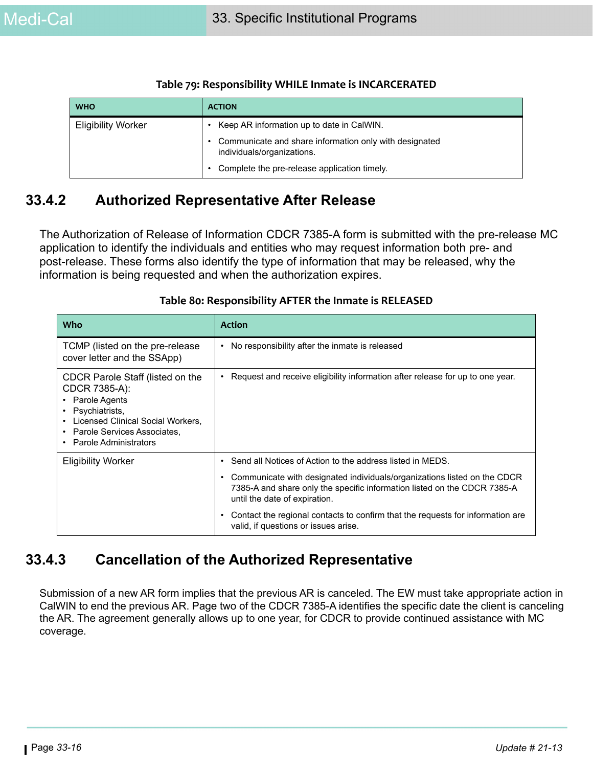| <b>WHO</b>                | <b>ACTION</b>                                                                        |
|---------------------------|--------------------------------------------------------------------------------------|
| <b>Eligibility Worker</b> | Keep AR information up to date in CalWIN.                                            |
|                           | Communicate and share information only with designated<br>individuals/organizations. |
|                           | Complete the pre-release application timely.                                         |

#### **Table 79: Responsibility WHILE Inmate is INCARCERATED**

### **33.4.2 Authorized Representative After Release**

The Authorization of Release of Information CDCR 7385-A form is submitted with the pre-release MC application to identify the individuals and entities who may request information both pre- and post-release. These forms also identify the type of information that may be released, why the information is being requested and when the authorization expires.

| Who                                                                                                                                                                                                                                        | <b>Action</b>                                                                                                                                                                              |
|--------------------------------------------------------------------------------------------------------------------------------------------------------------------------------------------------------------------------------------------|--------------------------------------------------------------------------------------------------------------------------------------------------------------------------------------------|
| TCMP (listed on the pre-release<br>cover letter and the SSApp)                                                                                                                                                                             | No responsibility after the inmate is released                                                                                                                                             |
| CDCR Parole Staff (listed on the<br>CDCR 7385-A):<br>Parole Agents<br>$\bullet$<br>Psychiatrists,<br>$\bullet$<br>Licensed Clinical Social Workers,<br>$\bullet$<br>Parole Services Associates,<br>٠<br>Parole Administrators<br>$\bullet$ | Request and receive eligibility information after release for up to one year.                                                                                                              |
| <b>Eligibility Worker</b>                                                                                                                                                                                                                  | Send all Notices of Action to the address listed in MEDS.                                                                                                                                  |
|                                                                                                                                                                                                                                            | Communicate with designated individuals/organizations listed on the CDCR<br>٠<br>7385-A and share only the specific information listed on the CDCR 7385-A<br>until the date of expiration. |
|                                                                                                                                                                                                                                            | Contact the regional contacts to confirm that the requests for information are<br>valid, if questions or issues arise.                                                                     |

#### **Table 80: Responsibility AFTER the Inmate is RELEASED**

### **33.4.3 Cancellation of the Authorized Representative**

Submission of a new AR form implies that the previous AR is canceled. The EW must take appropriate action in CalWIN to end the previous AR. Page two of the CDCR 7385-A identifies the specific date the client is canceling the AR. The agreement generally allows up to one year, for CDCR to provide continued assistance with MC coverage.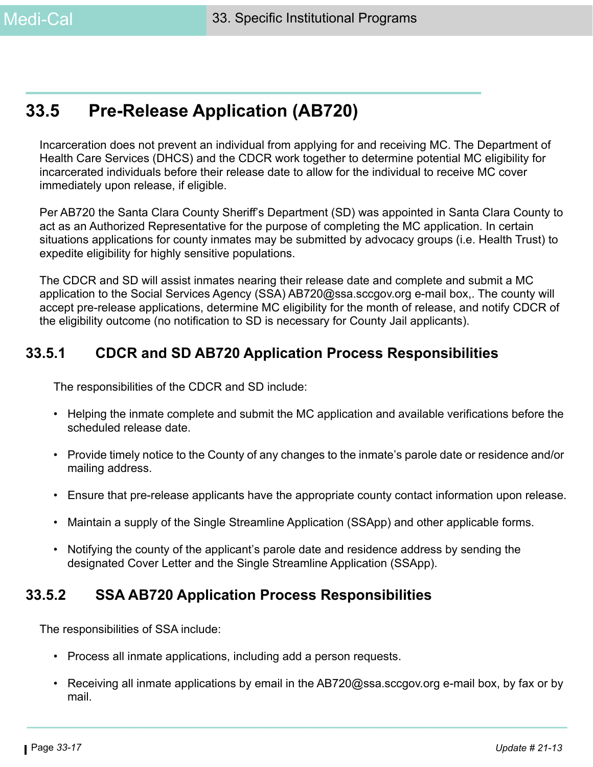# **33.5 Pre-Release Application (AB720)**

Incarceration does not prevent an individual from applying for and receiving MC. The Department of Health Care Services (DHCS) and the CDCR work together to determine potential MC eligibility for incarcerated individuals before their release date to allow for the individual to receive MC cover immediately upon release, if eligible.

Per AB720 the Santa Clara County Sheriff's Department (SD) was appointed in Santa Clara County to act as an Authorized Representative for the purpose of completing the MC application. In certain situations applications for county inmates may be submitted by advocacy groups (i.e. Health Trust) to expedite eligibility for highly sensitive populations.

The CDCR and SD will assist inmates nearing their release date and complete and submit a MC application to the Social Services Agency (SSA) AB720@ssa.sccgov.org e-mail box,. The county will accept pre-release applications, determine MC eligibility for the month of release, and notify CDCR of the eligibility outcome (no notification to SD is necessary for County Jail applicants).

### **33.5.1 CDCR and SD AB720 Application Process Responsibilities**

The responsibilities of the CDCR and SD include:

- Helping the inmate complete and submit the MC application and available verifications before the scheduled release date.
- Provide timely notice to the County of any changes to the inmate's parole date or residence and/or mailing address.
- Ensure that pre-release applicants have the appropriate county contact information upon release.
- Maintain a supply of the Single Streamline Application (SSApp) and other applicable forms.
- Notifying the county of the applicant's parole date and residence address by sending the designated Cover Letter and the Single Streamline Application (SSApp).

### **33.5.2 SSA AB720 Application Process Responsibilities**

The responsibilities of SSA include:

- Process all inmate applications, including add a person requests.
- Receiving all inmate applications by email in the AB720@ssa.sccgov.org e-mail box, by fax or by mail.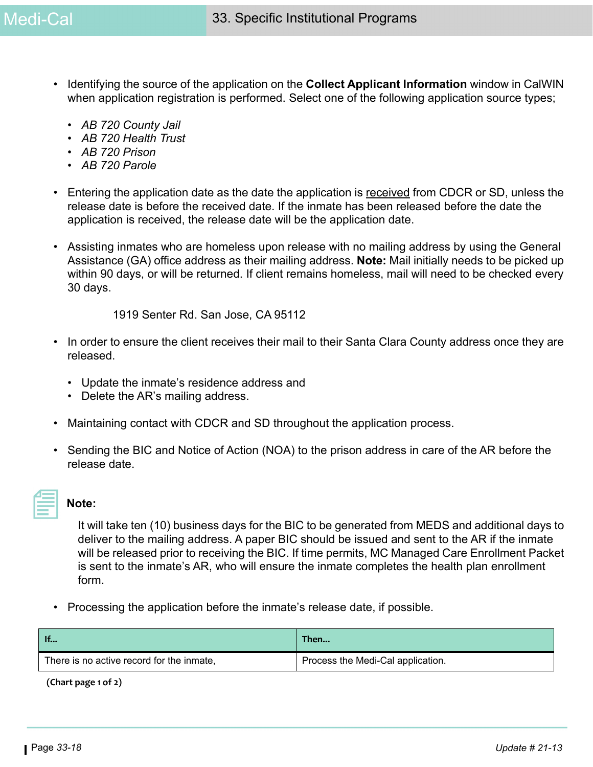- Identifying the source of the application on the **Collect Applicant Information** window in CalWIN when application registration is performed. Select one of the following application source types;
	- *AB 720 County Jail*
	- *AB 720 Health Trust*
	- *AB 720 Prison*
	- *AB 720 Parole*
- Entering the application date as the date the application is received from CDCR or SD, unless the release date is before the received date. If the inmate has been released before the date the application is received, the release date will be the application date.
- Assisting inmates who are homeless upon release with no mailing address by using the General Assistance (GA) office address as their mailing address. **Note:** Mail initially needs to be picked up within 90 days, or will be returned. If client remains homeless, mail will need to be checked every 30 days.

1919 Senter Rd. San Jose, CA 95112

- In order to ensure the client receives their mail to their Santa Clara County address once they are released.
	- Update the inmate's residence address and
	- Delete the AR's mailing address.
- Maintaining contact with CDCR and SD throughout the application process.
- Sending the BIC and Notice of Action (NOA) to the prison address in care of the AR before the release date.

### **Note:**

It will take ten (10) business days for the BIC to be generated from MEDS and additional days to deliver to the mailing address. A paper BIC should be issued and sent to the AR if the inmate will be released prior to receiving the BIC. If time permits, MC Managed Care Enrollment Packet is sent to the inmate's AR, who will ensure the inmate completes the health plan enrollment form.

• Processing the application before the inmate's release date, if possible.

| $\blacksquare$                            | Then                              |
|-------------------------------------------|-----------------------------------|
| There is no active record for the inmate, | Process the Medi-Cal application. |

 **(Chart page 1 of 2)**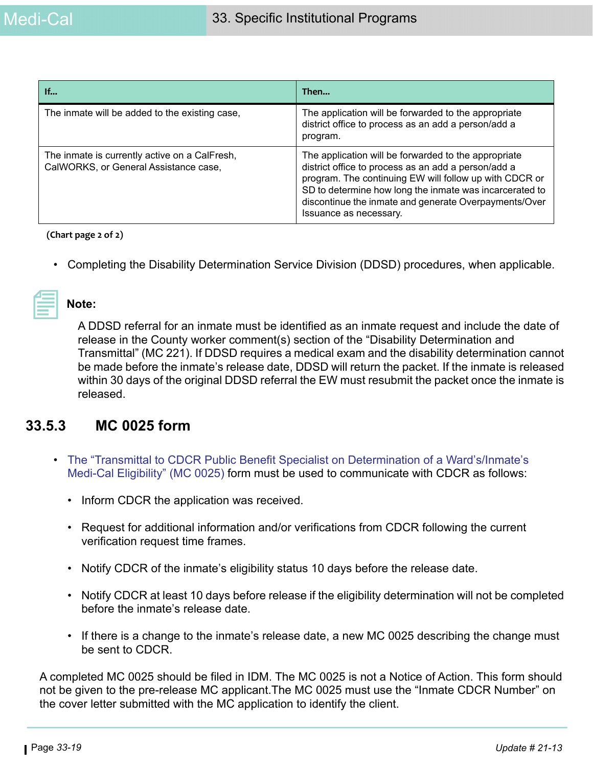| If                                                                                     | Then                                                                                                                                                                                                                                                                                                                |
|----------------------------------------------------------------------------------------|---------------------------------------------------------------------------------------------------------------------------------------------------------------------------------------------------------------------------------------------------------------------------------------------------------------------|
| The inmate will be added to the existing case,                                         | The application will be forwarded to the appropriate<br>district office to process as an add a person/add a<br>program.                                                                                                                                                                                             |
| The inmate is currently active on a CalFresh,<br>CalWORKS, or General Assistance case, | The application will be forwarded to the appropriate<br>district office to process as an add a person/add a<br>program. The continuing EW will follow up with CDCR or<br>SD to determine how long the inmate was incarcerated to<br>discontinue the inmate and generate Overpayments/Over<br>Issuance as necessary. |

 **(Chart page 2 of 2)**

• Completing the Disability Determination Service Division (DDSD) procedures, when applicable.

#### **Note:**

A DDSD referral for an inmate must be identified as an inmate request and include the date of release in the County worker comment(s) section of the "Disability Determination and Transmittal" (MC 221). If DDSD requires a medical exam and the disability determination cannot be made before the inmate's release date, DDSD will return the packet. If the inmate is released within 30 days of the original DDSD referral the EW must resubmit the packet once the inmate is released.

### **33.5.3 MC 0025 form**

- [The "Transmittal to CDCR Public Benefit Specialist on Determination of a Ward's/Inmate's](https://ssaconnect.sccgov.org/ssaforms/debs_forms/MC_0025_en.pdf)  [Medi-Cal Eligibility" \(MC 0025\)](https://ssaconnect.sccgov.org/ssaforms/debs_forms/MC_0025_en.pdf) form must be used to communicate with CDCR as follows:
	- Inform CDCR the application was received.
	- Request for additional information and/or verifications from CDCR following the current verification request time frames.
	- Notify CDCR of the inmate's eligibility status 10 days before the release date.
	- Notify CDCR at least 10 days before release if the eligibility determination will not be completed before the inmate's release date.
	- If there is a change to the inmate's release date, a new MC 0025 describing the change must be sent to CDCR.

A completed MC 0025 should be filed in IDM. The MC 0025 is not a Notice of Action. This form should not be given to the pre-release MC applicant.The MC 0025 must use the "Inmate CDCR Number" on the cover letter submitted with the MC application to identify the client.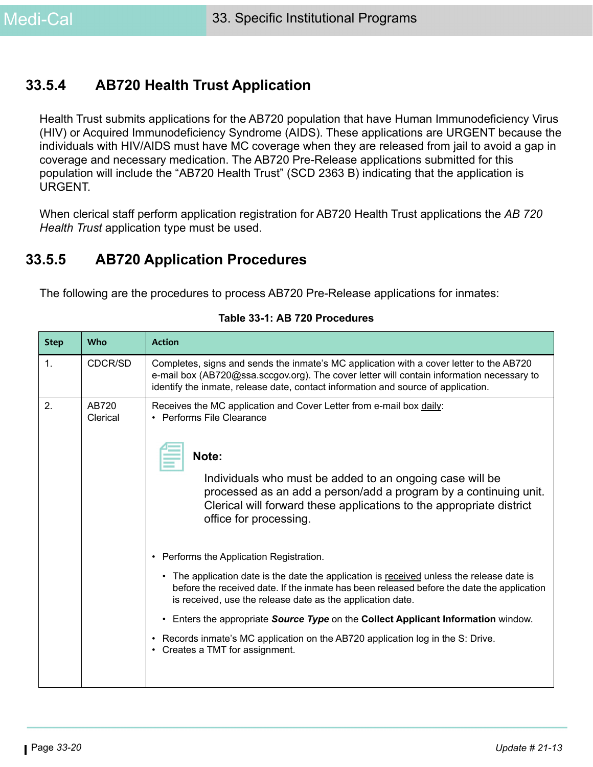### **33.5.4 AB720 Health Trust Application**

Health Trust submits applications for the AB720 population that have Human Immunodeficiency Virus (HIV) or Acquired Immunodeficiency Syndrome (AIDS). These applications are URGENT because the individuals with HIV/AIDS must have MC coverage when they are released from jail to avoid a gap in coverage and necessary medication. The AB720 Pre-Release applications submitted for this population will include the "AB720 Health Trust" (SCD 2363 B) indicating that the application is URGENT.

When clerical staff perform application registration for AB720 Health Trust applications the *AB 720 Health Trust* application type must be used.

### **33.5.5 AB720 Application Procedures**

The following are the procedures to process AB720 Pre-Release applications for inmates:

| <b>Step</b>    | <b>Who</b>        | <b>Action</b>                                                                                                                                                                                                                                                                                                                               |  |  |  |
|----------------|-------------------|---------------------------------------------------------------------------------------------------------------------------------------------------------------------------------------------------------------------------------------------------------------------------------------------------------------------------------------------|--|--|--|
| $\mathbf{1}$ . | CDCR/SD           | Completes, signs and sends the inmate's MC application with a cover letter to the AB720<br>e-mail box (AB720@ssa.sccgov.org). The cover letter will contain information necessary to<br>identify the inmate, release date, contact information and source of application.                                                                   |  |  |  |
| 2.             | AB720<br>Clerical | Receives the MC application and Cover Letter from e-mail box daily:<br>• Performs File Clearance<br>Note:<br>Individuals who must be added to an ongoing case will be<br>processed as an add a person/add a program by a continuing unit.<br>Clerical will forward these applications to the appropriate district<br>office for processing. |  |  |  |
|                |                   | • Performs the Application Registration.                                                                                                                                                                                                                                                                                                    |  |  |  |
|                |                   | The application date is the date the application is received unless the release date is<br>$\bullet$<br>before the received date. If the inmate has been released before the date the application<br>is received, use the release date as the application date.                                                                             |  |  |  |
|                |                   | Enters the appropriate Source Type on the Collect Applicant Information window.<br>$\bullet$                                                                                                                                                                                                                                                |  |  |  |
|                |                   | Records inmate's MC application on the AB720 application log in the S: Drive.<br>Creates a TMT for assignment.                                                                                                                                                                                                                              |  |  |  |

#### **Table 33-1: AB 720 Procedures**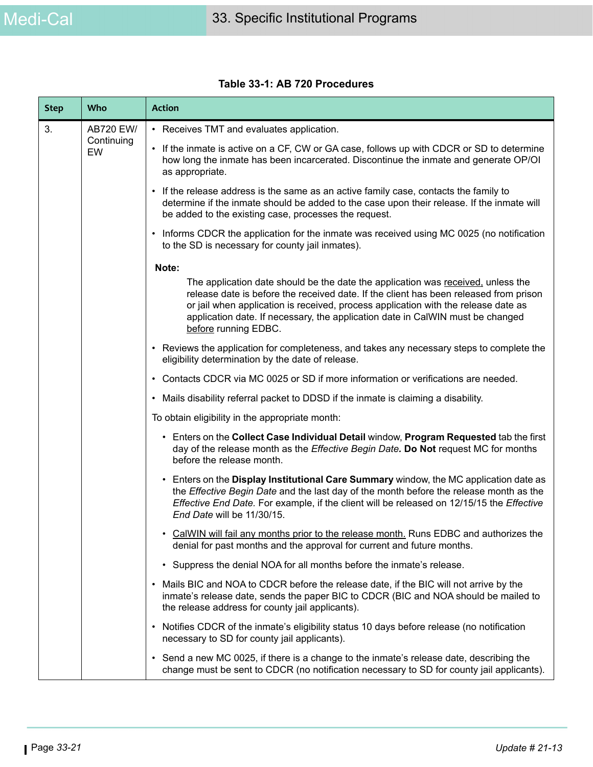| <b>Step</b> | Who              | <b>Action</b>                                                                                                                                                                                                                                                                                                                                                             |  |
|-------------|------------------|---------------------------------------------------------------------------------------------------------------------------------------------------------------------------------------------------------------------------------------------------------------------------------------------------------------------------------------------------------------------------|--|
| 3.          | <b>AB720 EW/</b> | • Receives TMT and evaluates application.                                                                                                                                                                                                                                                                                                                                 |  |
|             | Continuing<br>EW | • If the inmate is active on a CF, CW or GA case, follows up with CDCR or SD to determine<br>how long the inmate has been incarcerated. Discontinue the inmate and generate OP/OI<br>as appropriate.                                                                                                                                                                      |  |
|             |                  | • If the release address is the same as an active family case, contacts the family to<br>determine if the inmate should be added to the case upon their release. If the inmate will<br>be added to the existing case, processes the request.                                                                                                                              |  |
|             |                  | • Informs CDCR the application for the inmate was received using MC 0025 (no notification<br>to the SD is necessary for county jail inmates).                                                                                                                                                                                                                             |  |
|             |                  | Note:                                                                                                                                                                                                                                                                                                                                                                     |  |
|             |                  | The application date should be the date the application was received, unless the<br>release date is before the received date. If the client has been released from prison<br>or jail when application is received, process application with the release date as<br>application date. If necessary, the application date in CalWIN must be changed<br>before running EDBC. |  |
|             |                  | • Reviews the application for completeness, and takes any necessary steps to complete the<br>eligibility determination by the date of release.                                                                                                                                                                                                                            |  |
|             |                  | • Contacts CDCR via MC 0025 or SD if more information or verifications are needed.                                                                                                                                                                                                                                                                                        |  |
|             |                  | • Mails disability referral packet to DDSD if the inmate is claiming a disability.                                                                                                                                                                                                                                                                                        |  |
|             |                  | To obtain eligibility in the appropriate month:                                                                                                                                                                                                                                                                                                                           |  |
|             |                  | • Enters on the Collect Case Individual Detail window, Program Requested tab the first<br>day of the release month as the Effective Begin Date. Do Not request MC for months<br>before the release month.                                                                                                                                                                 |  |
|             |                  | • Enters on the Display Institutional Care Summary window, the MC application date as<br>the Effective Begin Date and the last day of the month before the release month as the<br>Effective End Date. For example, if the client will be released on 12/15/15 the Effective<br>End Date will be 11/30/15.                                                                |  |
|             |                  | • CalWIN will fail any months prior to the release month. Runs EDBC and authorizes the<br>denial for past months and the approval for current and future months.                                                                                                                                                                                                          |  |
|             |                  | • Suppress the denial NOA for all months before the inmate's release.                                                                                                                                                                                                                                                                                                     |  |
|             |                  | Mails BIC and NOA to CDCR before the release date, if the BIC will not arrive by the<br>$\bullet$<br>inmate's release date, sends the paper BIC to CDCR (BIC and NOA should be mailed to<br>the release address for county jail applicants).                                                                                                                              |  |
|             |                  | • Notifies CDCR of the inmate's eligibility status 10 days before release (no notification<br>necessary to SD for county jail applicants).                                                                                                                                                                                                                                |  |
|             |                  | • Send a new MC 0025, if there is a change to the inmate's release date, describing the<br>change must be sent to CDCR (no notification necessary to SD for county jail applicants).                                                                                                                                                                                      |  |

#### **Table 33-1: AB 720 Procedures**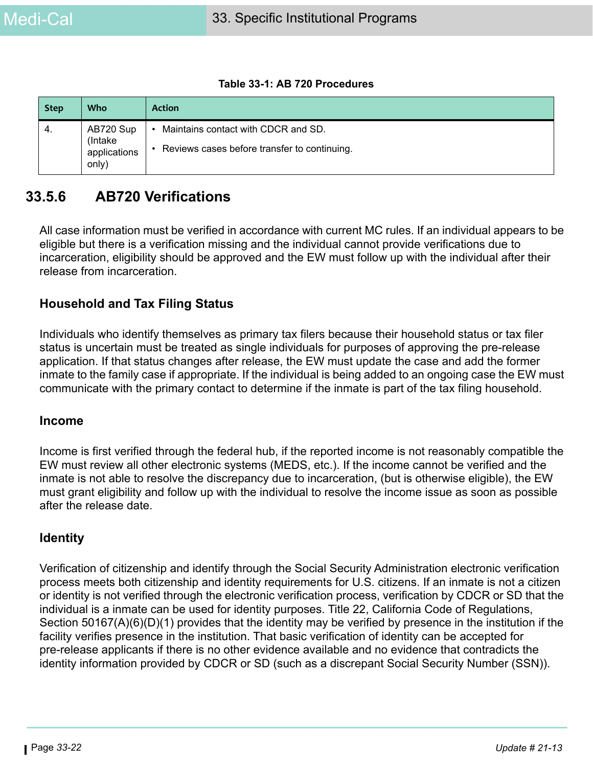#### **Table 33-1: AB 720 Procedures**

| <b>Step</b> | Who                                            | <b>Action</b>                                                                                    |
|-------------|------------------------------------------------|--------------------------------------------------------------------------------------------------|
| 4.          | AB720 Sup<br>(Intake)<br>applications<br>only) | Maintains contact with CDCR and SD.<br>$\bullet$<br>Reviews cases before transfer to continuing. |

### **33.5.6 AB720 Verifications**

All case information must be verified in accordance with current MC rules. If an individual appears to be eligible but there is a verification missing and the individual cannot provide verifications due to incarceration, eligibility should be approved and the EW must follow up with the individual after their release from incarceration.

#### **Household and Tax Filing Status**

Individuals who identify themselves as primary tax filers because their household status or tax filer status is uncertain must be treated as single individuals for purposes of approving the pre-release application. If that status changes after release, the EW must update the case and add the former inmate to the family case if appropriate. If the individual is being added to an ongoing case the EW must communicate with the primary contact to determine if the inmate is part of the tax filing household.

#### **Income**

Income is first verified through the federal hub, if the reported income is not reasonably compatible the EW must review all other electronic systems (MEDS, etc.). If the income cannot be verified and the inmate is not able to resolve the discrepancy due to incarceration, (but is otherwise eligible), the EW must grant eligibility and follow up with the individual to resolve the income issue as soon as possible after the release date.

#### **Identity**

Verification of citizenship and identify through the Social Security Administration electronic verification process meets both citizenship and identity requirements for U.S. citizens. If an inmate is not a citizen or identity is not verified through the electronic verification process, verification by CDCR or SD that the individual is a inmate can be used for identity purposes. Title 22, California Code of Regulations, Section 50167(A)(6)(D)(1) provides that the identity may be verified by presence in the institution if the facility verifies presence in the institution. That basic verification of identity can be accepted for pre-release applicants if there is no other evidence available and no evidence that contradicts the identity information provided by CDCR or SD (such as a discrepant Social Security Number (SSN)).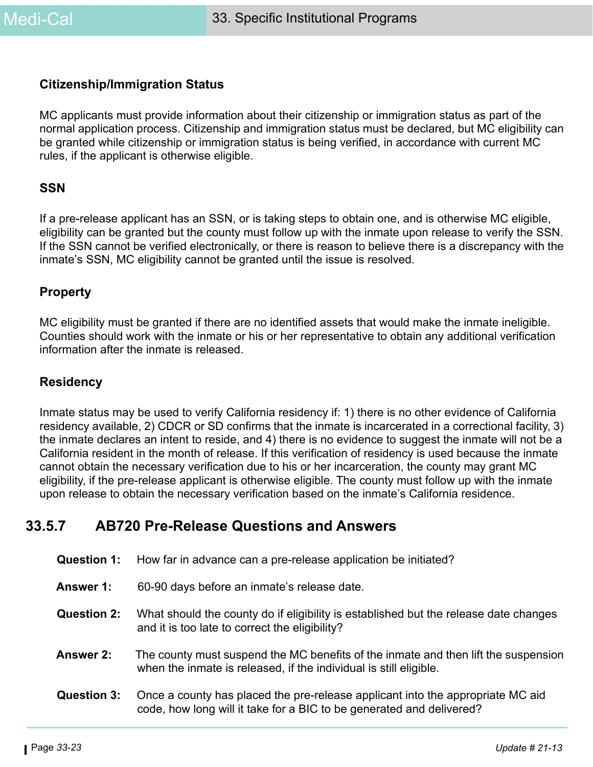#### **Citizenship/Immigration Status**

MC applicants must provide information about their citizenship or immigration status as part of the normal application process. Citizenship and immigration status must be declared, but MC eligibility can be granted while citizenship or immigration status is being verified, in accordance with current MC rules, if the applicant is otherwise eligible.

#### **SSN**

If a pre-release applicant has an SSN, or is taking steps to obtain one, and is otherwise MC eligible, eligibility can be granted but the county must follow up with the inmate upon release to verify the SSN. If the SSN cannot be verified electronically, or there is reason to believe there is a discrepancy with the inmate's SSN, MC eligibility cannot be granted until the issue is resolved.

#### **Property**

MC eligibility must be granted if there are no identified assets that would make the inmate ineligible. Counties should work with the inmate or his or her representative to obtain any additional verification information after the inmate is released.

#### **Residency**

Inmate status may be used to verify California residency if: 1) there is no other evidence of California residency available, 2) CDCR or SD confirms that the inmate is incarcerated in a correctional facility, 3) the inmate declares an intent to reside, and 4) there is no evidence to suggest the inmate will not be a California resident in the month of release. If this verification of residency is used because the inmate cannot obtain the necessary verification due to his or her incarceration, the county may grant MC eligibility, if the pre-release applicant is otherwise eligible. The county must follow up with the inmate upon release to obtain the necessary verification based on the inmate's California residence.

### **33.5.7 AB720 Pre-Release Questions and Answers**

- **Question 1:** How far in advance can a pre-release application be initiated?
- **Answer 1:** 60-90 days before an inmate's release date.
- **Question 2:** What should the county do if eligibility is established but the release date changes and it is too late to correct the eligibility?
- **Answer 2:** The county must suspend the MC benefits of the inmate and then lift the suspension when the inmate is released, if the individual is still eligible.
- **Question 3:** Once a county has placed the pre-release applicant into the appropriate MC aid code, how long will it take for a BIC to be generated and delivered?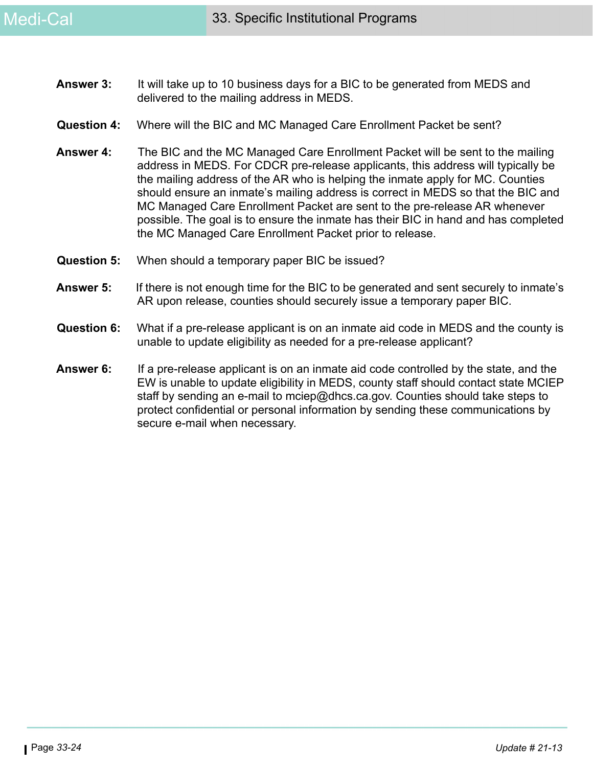- **Answer 3:** It will take up to 10 business days for a BIC to be generated from MEDS and delivered to the mailing address in MEDS.
- **Question 4:** Where will the BIC and MC Managed Care Enrollment Packet be sent?
- **Answer 4:** The BIC and the MC Managed Care Enrollment Packet will be sent to the mailing address in MEDS. For CDCR pre-release applicants, this address will typically be the mailing address of the AR who is helping the inmate apply for MC. Counties should ensure an inmate's mailing address is correct in MEDS so that the BIC and MC Managed Care Enrollment Packet are sent to the pre-release AR whenever possible. The goal is to ensure the inmate has their BIC in hand and has completed the MC Managed Care Enrollment Packet prior to release.
- **Question 5:** When should a temporary paper BIC be issued?
- **Answer 5:** If there is not enough time for the BIC to be generated and sent securely to inmate's AR upon release, counties should securely issue a temporary paper BIC.
- **Question 6:** What if a pre-release applicant is on an inmate aid code in MEDS and the county is unable to update eligibility as needed for a pre-release applicant?
- **Answer 6:** If a pre-release applicant is on an inmate aid code controlled by the state, and the EW is unable to update eligibility in MEDS, county staff should contact state MCIEP staff by sending an e-mail to mciep@dhcs.ca.gov. Counties should take steps to protect confidential or personal information by sending these communications by secure e-mail when necessary.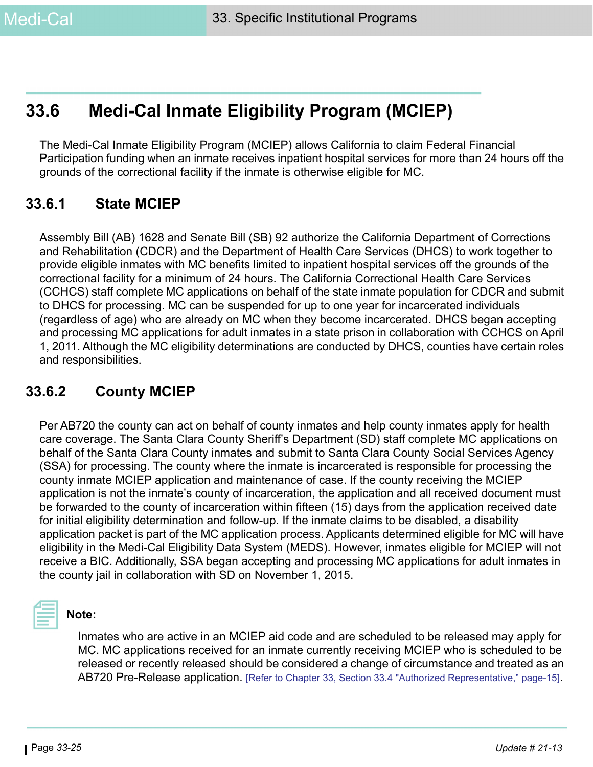# **33.6 Medi-Cal Inmate Eligibility Program (MCIEP)**

The Medi-Cal Inmate Eligibility Program (MCIEP) allows California to claim Federal Financial Participation funding when an inmate receives inpatient hospital services for more than 24 hours off the grounds of the correctional facility if the inmate is otherwise eligible for MC.

### **33.6.1 State MCIEP**

Assembly Bill (AB) 1628 and Senate Bill (SB) 92 authorize the California Department of Corrections and Rehabilitation (CDCR) and the Department of Health Care Services (DHCS) to work together to provide eligible inmates with MC benefits limited to inpatient hospital services off the grounds of the correctional facility for a minimum of 24 hours. The California Correctional Health Care Services (CCHCS) staff complete MC applications on behalf of the state inmate population for CDCR and submit to DHCS for processing. MC can be suspended for up to one year for incarcerated individuals (regardless of age) who are already on MC when they become incarcerated. DHCS began accepting and processing MC applications for adult inmates in a state prison in collaboration with CCHCS on April 1, 2011. Although the MC eligibility determinations are conducted by DHCS, counties have certain roles and responsibilities.

### **33.6.2 County MCIEP**

Per AB720 the county can act on behalf of county inmates and help county inmates apply for health care coverage. The Santa Clara County Sheriff's Department (SD) staff complete MC applications on behalf of the Santa Clara County inmates and submit to Santa Clara County Social Services Agency (SSA) for processing. The county where the inmate is incarcerated is responsible for processing the county inmate MCIEP application and maintenance of case. If the county receiving the MCIEP application is not the inmate's county of incarceration, the application and all received document must be forwarded to the county of incarceration within fifteen (15) days from the application received date for initial eligibility determination and follow-up. If the inmate claims to be disabled, a disability application packet is part of the MC application process. Applicants determined eligible for MC will have eligibility in the Medi-Cal Eligibility Data System (MEDS). However, inmates eligible for MCIEP will not receive a BIC. Additionally, SSA began accepting and processing MC applications for adult inmates in the county jail in collaboration with SD on November 1, 2015.



#### **Note:**

Inmates who are active in an MCIEP aid code and are scheduled to be released may apply for MC. MC applications received for an inmate currently receiving MCIEP who is scheduled to be released or recently released should be considered a change of circumstance and treated as an AB720 Pre-Release application. [\[Refer to Chapter 33, Section 33.4 "Authorized Representative," page-15\]](#page-14-0).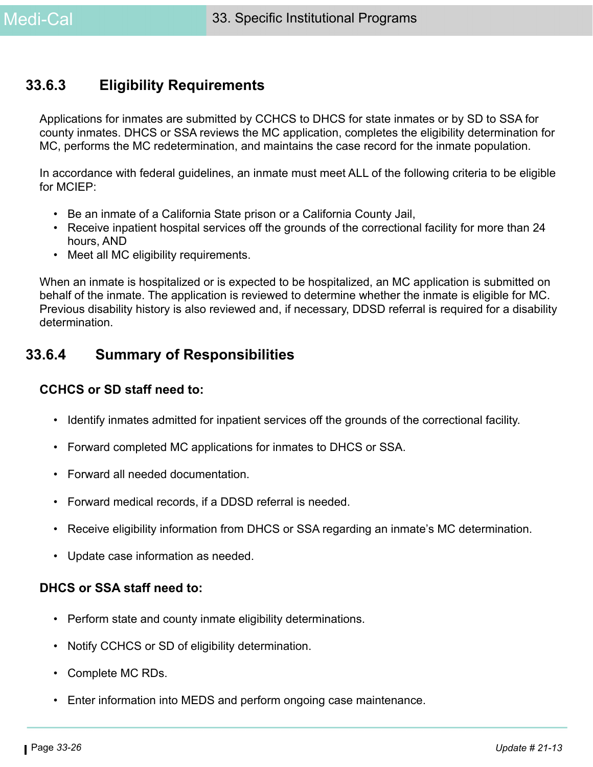### **33.6.3 Eligibility Requirements**

Applications for inmates are submitted by CCHCS to DHCS for state inmates or by SD to SSA for county inmates. DHCS or SSA reviews the MC application, completes the eligibility determination for MC, performs the MC redetermination, and maintains the case record for the inmate population.

In accordance with federal guidelines, an inmate must meet ALL of the following criteria to be eligible for MCIEP:

- Be an inmate of a California State prison or a California County Jail,
- Receive inpatient hospital services off the grounds of the correctional facility for more than 24 hours, AND
- Meet all MC eligibility requirements.

When an inmate is hospitalized or is expected to be hospitalized, an MC application is submitted on behalf of the inmate. The application is reviewed to determine whether the inmate is eligible for MC. Previous disability history is also reviewed and, if necessary, DDSD referral is required for a disability determination.

### **33.6.4 Summary of Responsibilities**

#### **CCHCS or SD staff need to:**

- Identify inmates admitted for inpatient services off the grounds of the correctional facility.
- Forward completed MC applications for inmates to DHCS or SSA.
- Forward all needed documentation.
- Forward medical records, if a DDSD referral is needed.
- Receive eligibility information from DHCS or SSA regarding an inmate's MC determination.
- Update case information as needed.

#### **DHCS or SSA staff need to:**

- Perform state and county inmate eligibility determinations.
- Notify CCHCS or SD of eligibility determination.
- Complete MC RDs.
- Enter information into MEDS and perform ongoing case maintenance.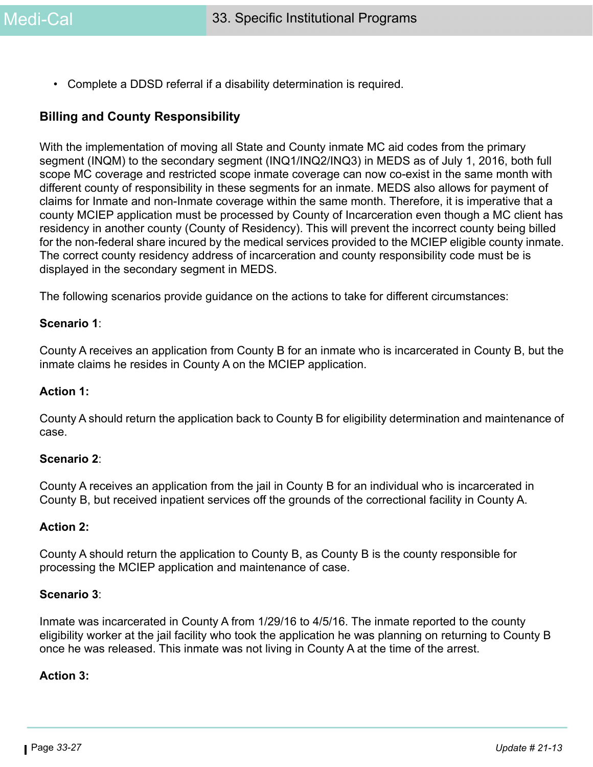• Complete a DDSD referral if a disability determination is required.

#### **Billing and County Responsibility**

With the implementation of moving all State and County inmate MC aid codes from the primary segment (INQM) to the secondary segment (INQ1/INQ2/INQ3) in MEDS as of July 1, 2016, both full scope MC coverage and restricted scope inmate coverage can now co-exist in the same month with different county of responsibility in these segments for an inmate. MEDS also allows for payment of claims for Inmate and non-Inmate coverage within the same month. Therefore, it is imperative that a county MCIEP application must be processed by County of Incarceration even though a MC client has residency in another county (County of Residency). This will prevent the incorrect county being billed for the non-federal share incured by the medical services provided to the MCIEP eligible county inmate. The correct county residency address of incarceration and county responsibility code must be is displayed in the secondary segment in MEDS.

The following scenarios provide guidance on the actions to take for different circumstances:

#### **Scenario 1**:

County A receives an application from County B for an inmate who is incarcerated in County B, but the inmate claims he resides in County A on the MCIEP application.

#### **Action 1:**

County A should return the application back to County B for eligibility determination and maintenance of case.

#### **Scenario 2**:

County A receives an application from the jail in County B for an individual who is incarcerated in County B, but received inpatient services off the grounds of the correctional facility in County A.

#### **Action 2:**

County A should return the application to County B, as County B is the county responsible for processing the MCIEP application and maintenance of case.

#### **Scenario 3**:

Inmate was incarcerated in County A from 1/29/16 to 4/5/16. The inmate reported to the county eligibility worker at the jail facility who took the application he was planning on returning to County B once he was released. This inmate was not living in County A at the time of the arrest.

#### **Action 3:**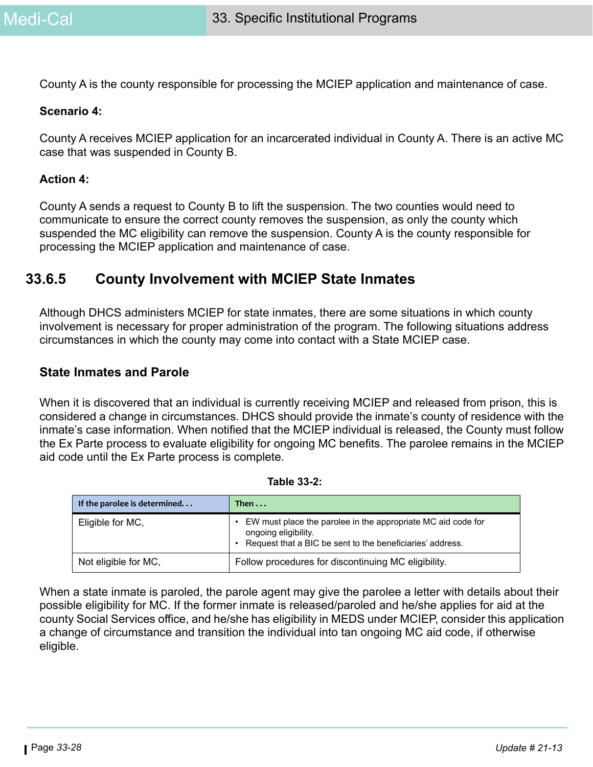County A is the county responsible for processing the MCIEP application and maintenance of case.

#### **Scenario 4:**

County A receives MCIEP application for an incarcerated individual in County A. There is an active MC case that was suspended in County B.

#### **Action 4:**

County A sends a request to County B to lift the suspension. The two counties would need to communicate to ensure the correct county removes the suspension, as only the county which suspended the MC eligibility can remove the suspension. County A is the county responsible for processing the MCIEP application and maintenance of case.

### **33.6.5 County Involvement with MCIEP State Inmates**

Although DHCS administers MCIEP for state inmates, there are some situations in which county involvement is necessary for proper administration of the program. The following situations address circumstances in which the county may come into contact with a State MCIEP case.

#### **State Inmates and Parole**

When it is discovered that an individual is currently receiving MCIEP and released from prison, this is considered a change in circumstances. DHCS should provide the inmate's county of residence with the inmate's case information. When notified that the MCIEP individual is released, the County must follow the Ex Parte process to evaluate eligibility for ongoing MC benefits. The parolee remains in the MCIEP aid code until the Ex Parte process is complete.

| If the parolee is determined | Then $\dots$                                                                                                                                      |
|------------------------------|---------------------------------------------------------------------------------------------------------------------------------------------------|
| Eligible for MC,             | EW must place the parolee in the appropriate MC aid code for<br>ongoing eligibility.<br>Request that a BIC be sent to the beneficiaries' address. |
| Not eligible for MC,         | Follow procedures for discontinuing MC eligibility.                                                                                               |

| <b>Table 33-2:</b> |
|--------------------|
|--------------------|

When a state inmate is paroled, the parole agent may give the parolee a letter with details about their possible eligibility for MC. If the former inmate is released/paroled and he/she applies for aid at the county Social Services office, and he/she has eligibility in MEDS under MCIEP, consider this application a change of circumstance and transition the individual into tan ongoing MC aid code, if otherwise eligible.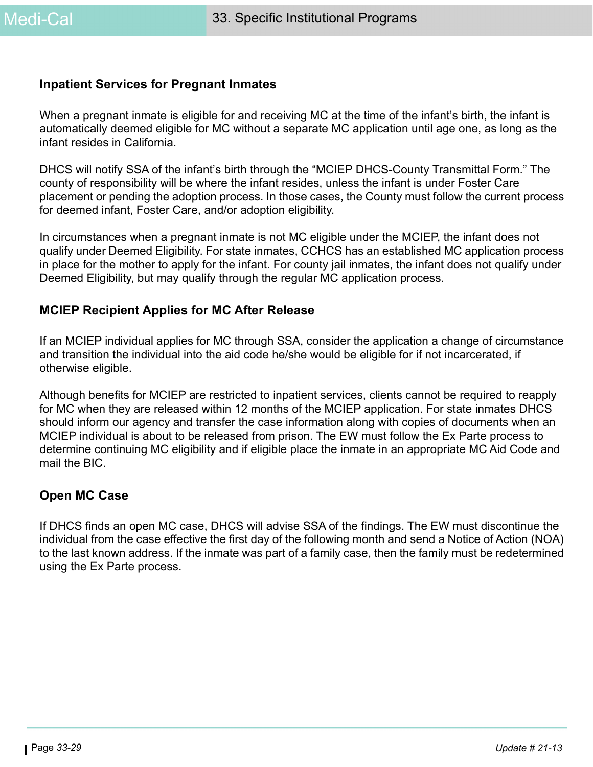#### **Inpatient Services for Pregnant Inmates**

When a pregnant inmate is eligible for and receiving MC at the time of the infant's birth, the infant is automatically deemed eligible for MC without a separate MC application until age one, as long as the infant resides in California.

DHCS will notify SSA of the infant's birth through the "MCIEP DHCS-County Transmittal Form." The county of responsibility will be where the infant resides, unless the infant is under Foster Care placement or pending the adoption process. In those cases, the County must follow the current process for deemed infant, Foster Care, and/or adoption eligibility.

In circumstances when a pregnant inmate is not MC eligible under the MCIEP, the infant does not qualify under Deemed Eligibility. For state inmates, CCHCS has an established MC application process in place for the mother to apply for the infant. For county jail inmates, the infant does not qualify under Deemed Eligibility, but may qualify through the regular MC application process.

#### **MCIEP Recipient Applies for MC After Release**

If an MCIEP individual applies for MC through SSA, consider the application a change of circumstance and transition the individual into the aid code he/she would be eligible for if not incarcerated, if otherwise eligible.

Although benefits for MCIEP are restricted to inpatient services, clients cannot be required to reapply for MC when they are released within 12 months of the MCIEP application. For state inmates DHCS should inform our agency and transfer the case information along with copies of documents when an MCIEP individual is about to be released from prison. The EW must follow the Ex Parte process to determine continuing MC eligibility and if eligible place the inmate in an appropriate MC Aid Code and mail the BIC.

#### **Open MC Case**

If DHCS finds an open MC case, DHCS will advise SSA of the findings. The EW must discontinue the individual from the case effective the first day of the following month and send a Notice of Action (NOA) to the last known address. If the inmate was part of a family case, then the family must be redetermined using the Ex Parte process.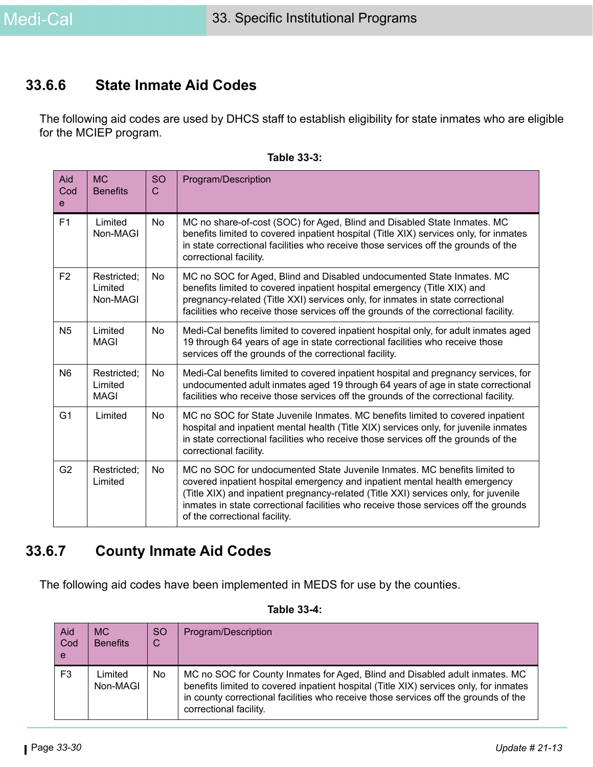### **33.6.6 State Inmate Aid Codes**

The following aid codes are used by DHCS staff to establish eligibility for state inmates who are eligible for the MCIEP program.

| Aid<br>Cod<br>$\mathbf{e}$ | <b>MC</b><br><b>Benefits</b>          | <b>SO</b><br>$\mathsf{C}$ | Program/Description                                                                                                                                                                                                                                                                                                                                                    |
|----------------------------|---------------------------------------|---------------------------|------------------------------------------------------------------------------------------------------------------------------------------------------------------------------------------------------------------------------------------------------------------------------------------------------------------------------------------------------------------------|
| F <sub>1</sub>             | Limited<br>Non-MAGI                   | <b>No</b>                 | MC no share-of-cost (SOC) for Aged, Blind and Disabled State Inmates. MC<br>benefits limited to covered inpatient hospital (Title XIX) services only, for inmates<br>in state correctional facilities who receive those services off the grounds of the<br>correctional facility.                                                                                      |
| F <sub>2</sub>             | Restricted;<br>Limited<br>Non-MAGI    | <b>No</b>                 | MC no SOC for Aged, Blind and Disabled undocumented State Inmates. MC<br>benefits limited to covered inpatient hospital emergency (Title XIX) and<br>pregnancy-related (Title XXI) services only, for inmates in state correctional<br>facilities who receive those services off the grounds of the correctional facility.                                             |
| N <sub>5</sub>             | Limited<br><b>MAGI</b>                | No                        | Medi-Cal benefits limited to covered inpatient hospital only, for adult inmates aged<br>19 through 64 years of age in state correctional facilities who receive those<br>services off the grounds of the correctional facility.                                                                                                                                        |
| N <sub>6</sub>             | Restricted;<br>Limited<br><b>MAGI</b> | <b>No</b>                 | Medi-Cal benefits limited to covered inpatient hospital and pregnancy services, for<br>undocumented adult inmates aged 19 through 64 years of age in state correctional<br>facilities who receive those services off the grounds of the correctional facility.                                                                                                         |
| G <sub>1</sub>             | Limited                               | <b>No</b>                 | MC no SOC for State Juvenile Inmates. MC benefits limited to covered inpatient<br>hospital and inpatient mental health (Title XIX) services only, for juvenile inmates<br>in state correctional facilities who receive those services off the grounds of the<br>correctional facility.                                                                                 |
| G <sub>2</sub>             | Restricted;<br>Limited                | No                        | MC no SOC for undocumented State Juvenile Inmates. MC benefits limited to<br>covered inpatient hospital emergency and inpatient mental health emergency<br>(Title XIX) and inpatient pregnancy-related (Title XXI) services only, for juvenile<br>inmates in state correctional facilities who receive those services off the grounds<br>of the correctional facility. |

| <b>Table 33-3:</b> |
|--------------------|
|--------------------|

### **33.6.7 County Inmate Aid Codes**

The following aid codes have been implemented in MEDS for use by the counties.

| Aid<br>Cod<br>e | MC.<br><b>Benefits</b> | <sub>SO</sub><br>C | Program/Description                                                                                                                                                                                                                                                                   |
|-----------------|------------------------|--------------------|---------------------------------------------------------------------------------------------------------------------------------------------------------------------------------------------------------------------------------------------------------------------------------------|
| F <sub>3</sub>  | Limited<br>Non-MAGI    | No.                | MC no SOC for County Inmates for Aged, Blind and Disabled adult inmates. MC<br>benefits limited to covered inpatient hospital (Title XIX) services only, for inmates<br>in county correctional facilities who receive those services off the grounds of the<br>correctional facility. |

#### **Table 33-4:**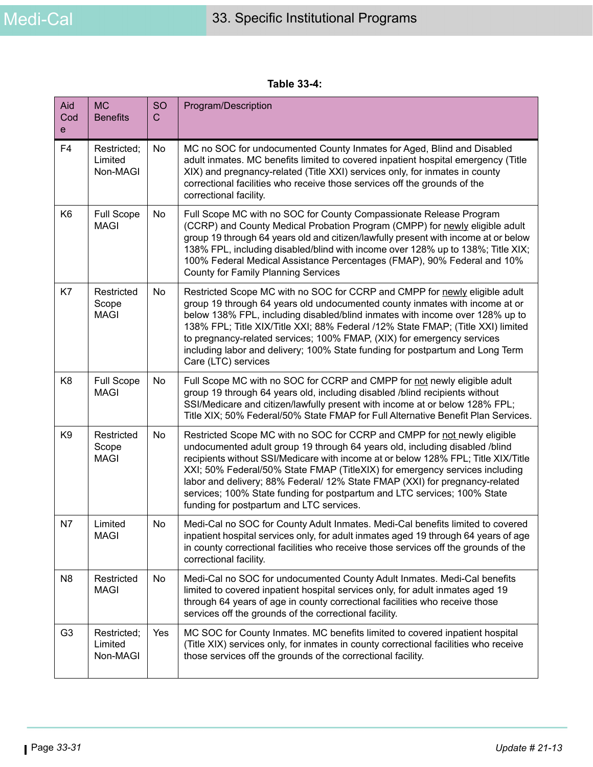**Table 33-4:** 

| Aid<br>Cod<br>e | <b>MC</b><br><b>Benefits</b>       | SO<br>$\mathsf{C}$ | Program/Description                                                                                                                                                                                                                                                                                                                                                                                                                                                                                                                |
|-----------------|------------------------------------|--------------------|------------------------------------------------------------------------------------------------------------------------------------------------------------------------------------------------------------------------------------------------------------------------------------------------------------------------------------------------------------------------------------------------------------------------------------------------------------------------------------------------------------------------------------|
| F <sub>4</sub>  | Restricted;<br>Limited<br>Non-MAGI | No                 | MC no SOC for undocumented County Inmates for Aged, Blind and Disabled<br>adult inmates. MC benefits limited to covered inpatient hospital emergency (Title<br>XIX) and pregnancy-related (Title XXI) services only, for inmates in county<br>correctional facilities who receive those services off the grounds of the<br>correctional facility.                                                                                                                                                                                  |
| K <sub>6</sub>  | <b>Full Scope</b><br><b>MAGI</b>   | No                 | Full Scope MC with no SOC for County Compassionate Release Program<br>(CCRP) and County Medical Probation Program (CMPP) for newly eligible adult<br>group 19 through 64 years old and citizen/lawfully present with income at or below<br>138% FPL, including disabled/blind with income over 128% up to 138%; Title XIX;<br>100% Federal Medical Assistance Percentages (FMAP), 90% Federal and 10%<br><b>County for Family Planning Services</b>                                                                                |
| K7              | Restricted<br>Scope<br><b>MAGI</b> | No                 | Restricted Scope MC with no SOC for CCRP and CMPP for newly eligible adult<br>group 19 through 64 years old undocumented county inmates with income at or<br>below 138% FPL, including disabled/blind inmates with income over 128% up to<br>138% FPL; Title XIX/Title XXI; 88% Federal /12% State FMAP; (Title XXI) limited<br>to pregnancy-related services; 100% FMAP, (XIX) for emergency services<br>including labor and delivery; 100% State funding for postpartum and Long Term<br>Care (LTC) services                     |
| K <sub>8</sub>  | <b>Full Scope</b><br><b>MAGI</b>   | No                 | Full Scope MC with no SOC for CCRP and CMPP for not newly eligible adult<br>group 19 through 64 years old, including disabled /blind recipients without<br>SSI/Medicare and citizen/lawfully present with income at or below 128% FPL;<br>Title XIX; 50% Federal/50% State FMAP for Full Alternative Benefit Plan Services.                                                                                                                                                                                                        |
| K <sub>9</sub>  | Restricted<br>Scope<br><b>MAGI</b> | No                 | Restricted Scope MC with no SOC for CCRP and CMPP for not newly eligible<br>undocumented adult group 19 through 64 years old, including disabled /blind<br>recipients without SSI/Medicare with income at or below 128% FPL; Title XIX/Title<br>XXI; 50% Federal/50% State FMAP (TitleXIX) for emergency services including<br>labor and delivery; 88% Federal/ 12% State FMAP (XXI) for pregnancy-related<br>services; 100% State funding for postpartum and LTC services; 100% State<br>funding for postpartum and LTC services. |
| N7              | Limited<br><b>MAGI</b>             | No                 | Medi-Cal no SOC for County Adult Inmates. Medi-Cal benefits limited to covered<br>inpatient hospital services only, for adult inmates aged 19 through 64 years of age<br>in county correctional facilities who receive those services off the grounds of the<br>correctional facility.                                                                                                                                                                                                                                             |
| N <sub>8</sub>  | Restricted<br><b>MAGI</b>          | No                 | Medi-Cal no SOC for undocumented County Adult Inmates. Medi-Cal benefits<br>limited to covered inpatient hospital services only, for adult inmates aged 19<br>through 64 years of age in county correctional facilities who receive those<br>services off the grounds of the correctional facility.                                                                                                                                                                                                                                |
| G <sub>3</sub>  | Restricted;<br>Limited<br>Non-MAGI | Yes                | MC SOC for County Inmates. MC benefits limited to covered inpatient hospital<br>(Title XIX) services only, for inmates in county correctional facilities who receive<br>those services off the grounds of the correctional facility.                                                                                                                                                                                                                                                                                               |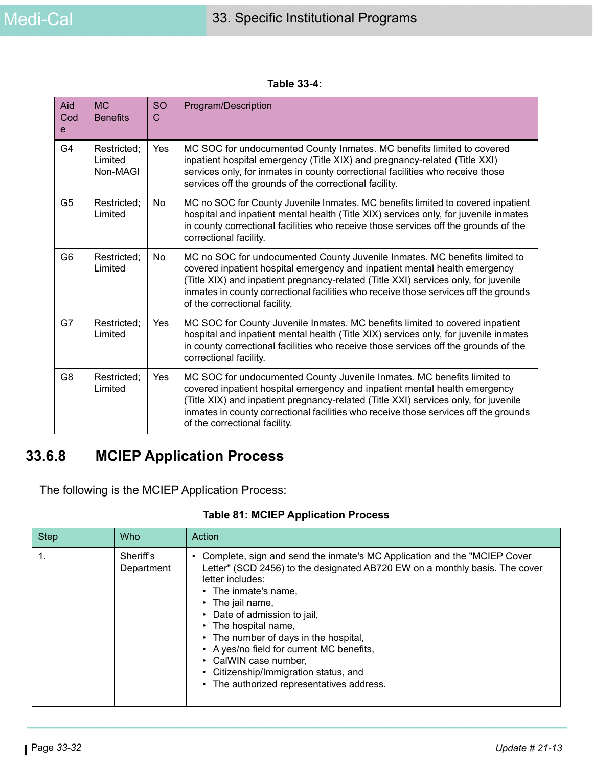| Table 33-4: |
|-------------|
|-------------|

| Aid<br>Cod<br>e | <b>MC</b><br><b>Benefits</b>       | <b>SO</b><br>$\mathsf{C}$ | Program/Description                                                                                                                                                                                                                                                                                                                                                      |
|-----------------|------------------------------------|---------------------------|--------------------------------------------------------------------------------------------------------------------------------------------------------------------------------------------------------------------------------------------------------------------------------------------------------------------------------------------------------------------------|
| G <sub>4</sub>  | Restricted;<br>Limited<br>Non-MAGI | Yes                       | MC SOC for undocumented County Inmates. MC benefits limited to covered<br>inpatient hospital emergency (Title XIX) and pregnancy-related (Title XXI)<br>services only, for inmates in county correctional facilities who receive those<br>services off the grounds of the correctional facility.                                                                         |
| G <sub>5</sub>  | Restricted;<br>Limited             | <b>No</b>                 | MC no SOC for County Juvenile Inmates. MC benefits limited to covered inpatient<br>hospital and inpatient mental health (Title XIX) services only, for juvenile inmates<br>in county correctional facilities who receive those services off the grounds of the<br>correctional facility.                                                                                 |
| G <sub>6</sub>  | Restricted;<br>Limited             | No.                       | MC no SOC for undocumented County Juvenile Inmates. MC benefits limited to<br>covered inpatient hospital emergency and inpatient mental health emergency<br>(Title XIX) and inpatient pregnancy-related (Title XXI) services only, for juvenile<br>inmates in county correctional facilities who receive those services off the grounds<br>of the correctional facility. |
| G7              | Restricted;<br>Limited             | Yes                       | MC SOC for County Juvenile Inmates. MC benefits limited to covered inpatient<br>hospital and inpatient mental health (Title XIX) services only, for juvenile inmates<br>in county correctional facilities who receive those services off the grounds of the<br>correctional facility.                                                                                    |
| G <sub>8</sub>  | Restricted;<br>Limited             | Yes                       | MC SOC for undocumented County Juvenile Inmates. MC benefits limited to<br>covered inpatient hospital emergency and inpatient mental health emergency<br>(Title XIX) and inpatient pregnancy-related (Title XXI) services only, for juvenile<br>inmates in county correctional facilities who receive those services off the grounds<br>of the correctional facility.    |

## **33.6.8 MCIEP Application Process**

The following is the MCIEP Application Process:

| <b>Step</b> | <b>Who</b>              | Action                                                                                                                                                                                                                                                                                                                                                                                                                                                                                              |
|-------------|-------------------------|-----------------------------------------------------------------------------------------------------------------------------------------------------------------------------------------------------------------------------------------------------------------------------------------------------------------------------------------------------------------------------------------------------------------------------------------------------------------------------------------------------|
|             | Sheriff's<br>Department | Complete, sign and send the inmate's MC Application and the "MCIEP Cover<br>Letter" (SCD 2456) to the designated AB720 EW on a monthly basis. The cover<br>letter includes:<br>$\cdot$ The inmate's name,<br>• The jail name,<br>Date of admission to jail,<br>The hospital name,<br>$\bullet$<br>• The number of days in the hospital,<br>• A yes/no field for current MC benefits,<br>• CalWIN case number,<br>• Citizenship/Immigration status, and<br>• The authorized representatives address. |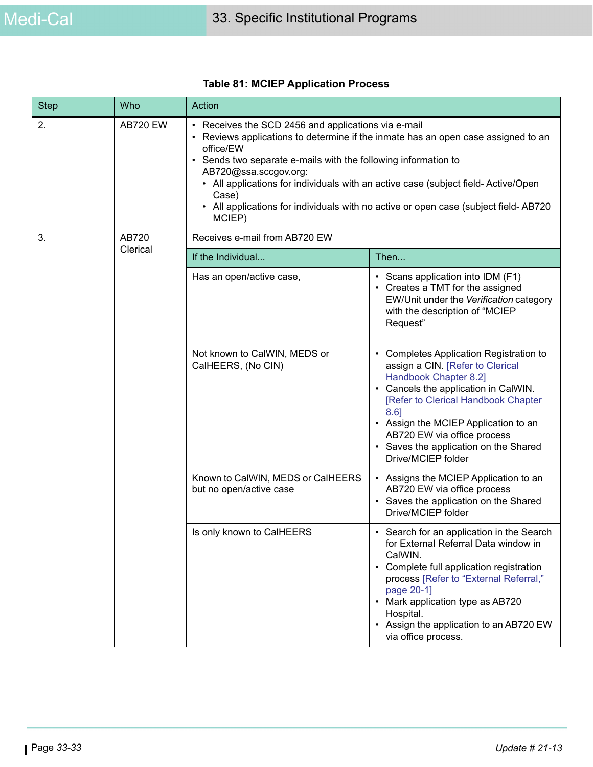| <b>Step</b> | Who             | Action                                                                                                                                                                                                                                                                                                                                                                                                                                       |                                                                                                                                                                                                                                                                                                                                                        |  |
|-------------|-----------------|----------------------------------------------------------------------------------------------------------------------------------------------------------------------------------------------------------------------------------------------------------------------------------------------------------------------------------------------------------------------------------------------------------------------------------------------|--------------------------------------------------------------------------------------------------------------------------------------------------------------------------------------------------------------------------------------------------------------------------------------------------------------------------------------------------------|--|
| 2.          | <b>AB720 EW</b> | • Receives the SCD 2456 and applications via e-mail<br>Reviews applications to determine if the inmate has an open case assigned to an<br>office/EW<br>Sends two separate e-mails with the following information to<br>AB720@ssa.sccgov.org:<br>• All applications for individuals with an active case (subject field- Active/Open<br>Case)<br>• All applications for individuals with no active or open case (subject field-AB720<br>MCIEP) |                                                                                                                                                                                                                                                                                                                                                        |  |
| 3.          | AB720           | Receives e-mail from AB720 EW                                                                                                                                                                                                                                                                                                                                                                                                                |                                                                                                                                                                                                                                                                                                                                                        |  |
|             | Clerical        | If the Individual                                                                                                                                                                                                                                                                                                                                                                                                                            | Then                                                                                                                                                                                                                                                                                                                                                   |  |
|             |                 | Has an open/active case,                                                                                                                                                                                                                                                                                                                                                                                                                     | • Scans application into IDM (F1)<br>Creates a TMT for the assigned<br>EW/Unit under the Verification category<br>with the description of "MCIEP<br>Request"                                                                                                                                                                                           |  |
|             |                 | Not known to CalWIN, MEDS or<br>CalHEERS, (No CIN)                                                                                                                                                                                                                                                                                                                                                                                           | <b>Completes Application Registration to</b><br>$\bullet$<br>assign a CIN. [Refer to Clerical<br>Handbook Chapter 8.2]<br>• Cancels the application in CalWIN.<br>[Refer to Clerical Handbook Chapter<br>$8.6$ ]<br>• Assign the MCIEP Application to an<br>AB720 EW via office process<br>• Saves the application on the Shared<br>Drive/MCIEP folder |  |
|             |                 | Known to CalWIN, MEDS or CalHEERS<br>but no open/active case                                                                                                                                                                                                                                                                                                                                                                                 | • Assigns the MCIEP Application to an<br>AB720 EW via office process<br>• Saves the application on the Shared<br>Drive/MCIEP folder                                                                                                                                                                                                                    |  |
|             |                 | Is only known to CalHEERS                                                                                                                                                                                                                                                                                                                                                                                                                    | Search for an application in the Search<br>for External Referral Data window in<br>CalWIN.<br>Complete full application registration<br>$\bullet$<br>process [Refer to "External Referral,"<br>page 20-1]<br>Mark application type as AB720<br>Hospital.<br>• Assign the application to an AB720 EW<br>via office process.                             |  |

### **Table 81: MCIEP Application Process**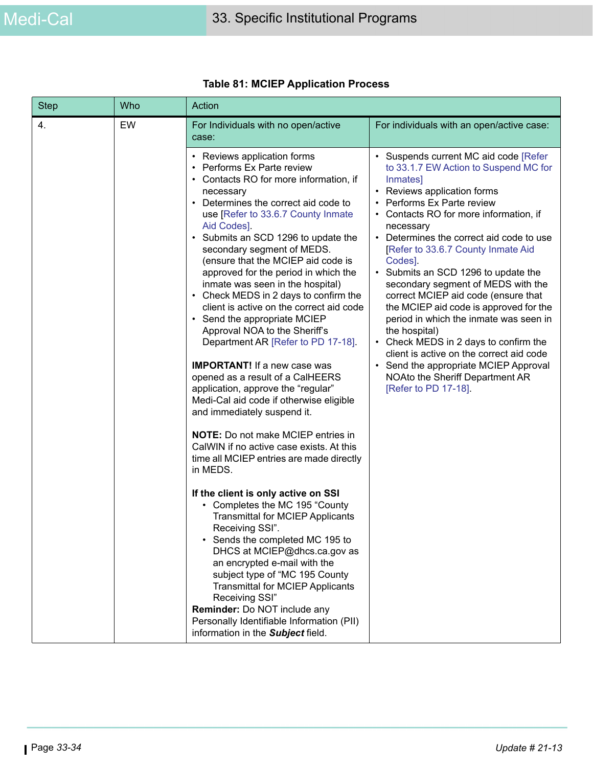| <b>Step</b> | Who | Action                                                                                                                                                                                                                                                                                                                                                                                                                                                                                                                                                                                                                                                                                                                                                                                                                                                                                                                                                                                                                                                                                                                                                                                                                                                                                                                                                                                                                         |                                                                                                                                                                                                                                                                                                                                                                                                                                                                                                                                                                                                                                                                                                                     |
|-------------|-----|--------------------------------------------------------------------------------------------------------------------------------------------------------------------------------------------------------------------------------------------------------------------------------------------------------------------------------------------------------------------------------------------------------------------------------------------------------------------------------------------------------------------------------------------------------------------------------------------------------------------------------------------------------------------------------------------------------------------------------------------------------------------------------------------------------------------------------------------------------------------------------------------------------------------------------------------------------------------------------------------------------------------------------------------------------------------------------------------------------------------------------------------------------------------------------------------------------------------------------------------------------------------------------------------------------------------------------------------------------------------------------------------------------------------------------|---------------------------------------------------------------------------------------------------------------------------------------------------------------------------------------------------------------------------------------------------------------------------------------------------------------------------------------------------------------------------------------------------------------------------------------------------------------------------------------------------------------------------------------------------------------------------------------------------------------------------------------------------------------------------------------------------------------------|
| 4.          | EW  | For Individuals with no open/active<br>case:                                                                                                                                                                                                                                                                                                                                                                                                                                                                                                                                                                                                                                                                                                                                                                                                                                                                                                                                                                                                                                                                                                                                                                                                                                                                                                                                                                                   | For individuals with an open/active case:                                                                                                                                                                                                                                                                                                                                                                                                                                                                                                                                                                                                                                                                           |
|             |     | Reviews application forms<br>٠<br>Performs Ex Parte review<br>$\bullet$<br>• Contacts RO for more information, if<br>necessary<br>Determines the correct aid code to<br>$\bullet$<br>use [Refer to 33.6.7 County Inmate<br>Aid Codes].<br>• Submits an SCD 1296 to update the<br>secondary segment of MEDS.<br>(ensure that the MCIEP aid code is<br>approved for the period in which the<br>inmate was seen in the hospital)<br>• Check MEDS in 2 days to confirm the<br>client is active on the correct aid code<br>• Send the appropriate MCIEP<br>Approval NOA to the Sheriff's<br>Department AR [Refer to PD 17-18].<br><b>IMPORTANT!</b> If a new case was<br>opened as a result of a CalHEERS<br>application, approve the "regular"<br>Medi-Cal aid code if otherwise eligible<br>and immediately suspend it.<br><b>NOTE:</b> Do not make MCIEP entries in<br>CalWIN if no active case exists. At this<br>time all MCIEP entries are made directly<br>in MEDS.<br>If the client is only active on SSI<br>• Completes the MC 195 "County<br><b>Transmittal for MCIEP Applicants</b><br>Receiving SSI".<br>Sends the completed MC 195 to<br>DHCS at MCIEP@dhcs.ca.gov as<br>an encrypted e-mail with the<br>subject type of "MC 195 County<br><b>Transmittal for MCIEP Applicants</b><br>Receiving SSI"<br>Reminder: Do NOT include any<br>Personally Identifiable Information (PII)<br>information in the Subject field. | Suspends current MC aid code [Refer<br>to 33.1.7 EW Action to Suspend MC for<br>Inmates]<br>Reviews application forms<br>Performs Ex Parte review<br>Contacts RO for more information, if<br>necessary<br>• Determines the correct aid code to use<br>[Refer to 33.6.7 County Inmate Aid<br>Codes].<br>• Submits an SCD 1296 to update the<br>secondary segment of MEDS with the<br>correct MCIEP aid code (ensure that<br>the MCIEP aid code is approved for the<br>period in which the inmate was seen in<br>the hospital)<br>Check MEDS in 2 days to confirm the<br>client is active on the correct aid code<br>• Send the appropriate MCIEP Approval<br>NOAto the Sheriff Department AR<br>[Refer to PD 17-18]. |

### **Table 81: MCIEP Application Process**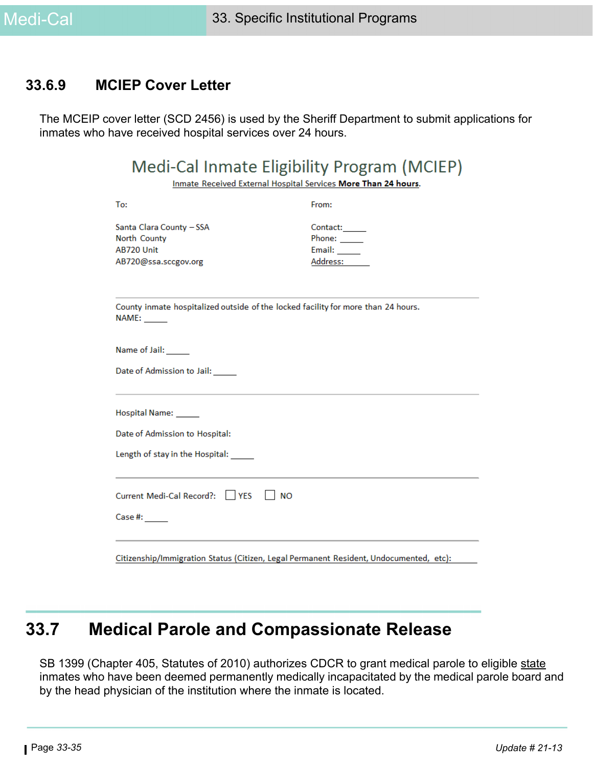### **33.6.9 MCIEP Cover Letter**

The MCEIP cover letter (SCD 2456) is used by the Sheriff Department to submit applications for inmates who have received hospital services over 24 hours.

Inmate Received External Hospital Services More Than 24 hours.

| To:                                                                                               | From:                                                  |  |  |
|---------------------------------------------------------------------------------------------------|--------------------------------------------------------|--|--|
| Santa Clara County - SSA<br>North County<br>AB720 Unit<br>AB720@ssa.sccgov.org                    | Contact:<br>Phone: $\_\_$<br>Email: $\_\_$<br>Address: |  |  |
| County inmate hospitalized outside of the locked facility for more than 24 hours.<br><b>NAME:</b> |                                                        |  |  |
| Name of Jail: _____                                                                               |                                                        |  |  |
| Date of Admission to Jail: _____                                                                  |                                                        |  |  |
| Hospital Name: _____                                                                              |                                                        |  |  |
| Date of Admission to Hospital:                                                                    |                                                        |  |  |
| Length of stay in the Hospital: _____                                                             |                                                        |  |  |
| Current Medi-Cal Record?:     YES<br>$\mathsf{l}$ NO                                              |                                                        |  |  |
| Case #: ______                                                                                    |                                                        |  |  |
| Citizenship/Immigration Status (Citizen, Legal Permanent Resident, Undocumented, etc):            |                                                        |  |  |

# **33.7 Medical Parole and Compassionate Release**

SB 1399 (Chapter 405, Statutes of 2010) authorizes CDCR to grant medical parole to eligible state inmates who have been deemed permanently medically incapacitated by the medical parole board and by the head physician of the institution where the inmate is located.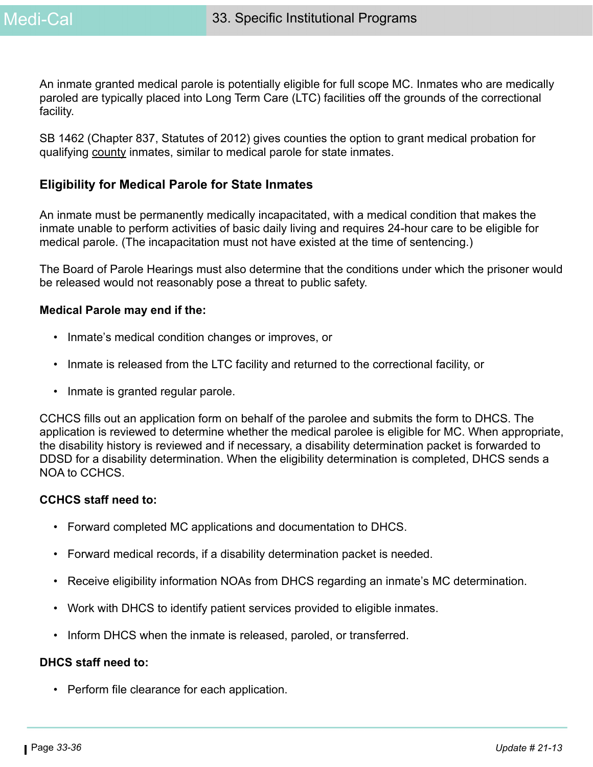An inmate granted medical parole is potentially eligible for full scope MC. Inmates who are medically paroled are typically placed into Long Term Care (LTC) facilities off the grounds of the correctional facility.

SB 1462 (Chapter 837, Statutes of 2012) gives counties the option to grant medical probation for qualifying county inmates, similar to medical parole for state inmates.

#### **Eligibility for Medical Parole for State Inmates**

An inmate must be permanently medically incapacitated, with a medical condition that makes the inmate unable to perform activities of basic daily living and requires 24-hour care to be eligible for medical parole. (The incapacitation must not have existed at the time of sentencing.)

The Board of Parole Hearings must also determine that the conditions under which the prisoner would be released would not reasonably pose a threat to public safety.

#### **Medical Parole may end if the:**

- Inmate's medical condition changes or improves, or
- Inmate is released from the LTC facility and returned to the correctional facility, or
- Inmate is granted regular parole.

CCHCS fills out an application form on behalf of the parolee and submits the form to DHCS. The application is reviewed to determine whether the medical parolee is eligible for MC. When appropriate, the disability history is reviewed and if necessary, a disability determination packet is forwarded to DDSD for a disability determination. When the eligibility determination is completed, DHCS sends a NOA to CCHCS.

#### **CCHCS staff need to:**

- Forward completed MC applications and documentation to DHCS.
- Forward medical records, if a disability determination packet is needed.
- Receive eligibility information NOAs from DHCS regarding an inmate's MC determination.
- Work with DHCS to identify patient services provided to eligible inmates.
- Inform DHCS when the inmate is released, paroled, or transferred.

#### **DHCS staff need to:**

• Perform file clearance for each application.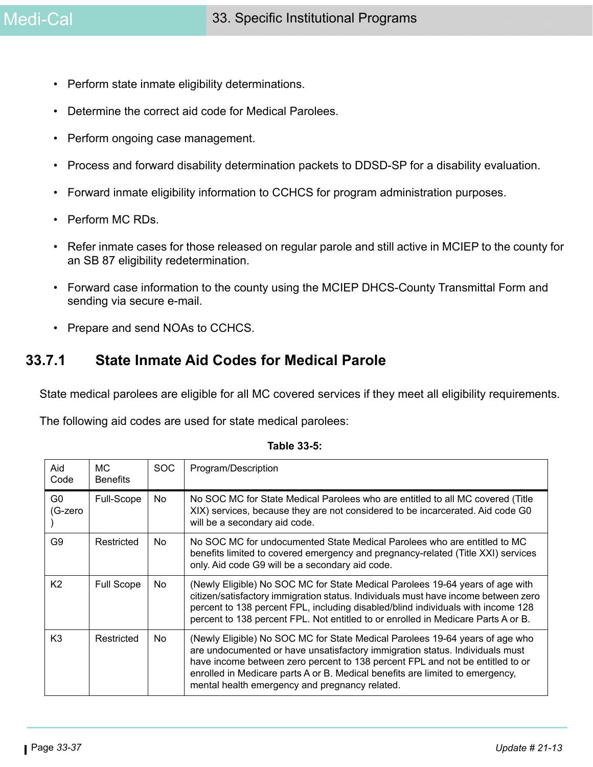- Perform state inmate eligibility determinations.
- Determine the correct aid code for Medical Parolees.
- Perform ongoing case management.
- Process and forward disability determination packets to DDSD-SP for a disability evaluation.
- Forward inmate eligibility information to CCHCS for program administration purposes.
- Perform MC RDs.
- Refer inmate cases for those released on regular parole and still active in MCIEP to the county for an SB 87 eligibility redetermination.
- Forward case information to the county using the MCIEP DHCS-County Transmittal Form and sending via secure e-mail.
- Prepare and send NOAs to CCHCS.

### **33.7.1 State Inmate Aid Codes for Medical Parole**

State medical parolees are eligible for all MC covered services if they meet all eligibility requirements.

The following aid codes are used for state medical parolees:

| Aid<br>Code               | MC.<br><b>Benefits</b> | <b>SOC</b> | Program/Description                                                                                                                                                                                                                                                                                                                                                              |
|---------------------------|------------------------|------------|----------------------------------------------------------------------------------------------------------------------------------------------------------------------------------------------------------------------------------------------------------------------------------------------------------------------------------------------------------------------------------|
| G <sub>0</sub><br>(G-zero | Full-Scope             | No.        | No SOC MC for State Medical Parolees who are entitled to all MC covered (Title<br>XIX) services, because they are not considered to be incarcerated. Aid code G0<br>will be a secondary aid code.                                                                                                                                                                                |
| G9                        | Restricted             | No         | No SOC MC for undocumented State Medical Parolees who are entitled to MC<br>benefits limited to covered emergency and pregnancy-related (Title XXI) services<br>only. Aid code G9 will be a secondary aid code.                                                                                                                                                                  |
| K <sub>2</sub>            | <b>Full Scope</b>      | No         | (Newly Eligible) No SOC MC for State Medical Parolees 19-64 years of age with<br>citizen/satisfactory immigration status. Individuals must have income between zero<br>percent to 138 percent FPL, including disabled/blind individuals with income 128<br>percent to 138 percent FPL. Not entitled to or enrolled in Medicare Parts A or B.                                     |
| K <sub>3</sub>            | Restricted             | <b>No</b>  | (Newly Eligible) No SOC MC for State Medical Parolees 19-64 years of age who<br>are undocumented or have unsatisfactory immigration status. Individuals must<br>have income between zero percent to 138 percent FPL and not be entitled to or<br>enrolled in Medicare parts A or B. Medical benefits are limited to emergency,<br>mental health emergency and pregnancy related. |

**Table 33-5:**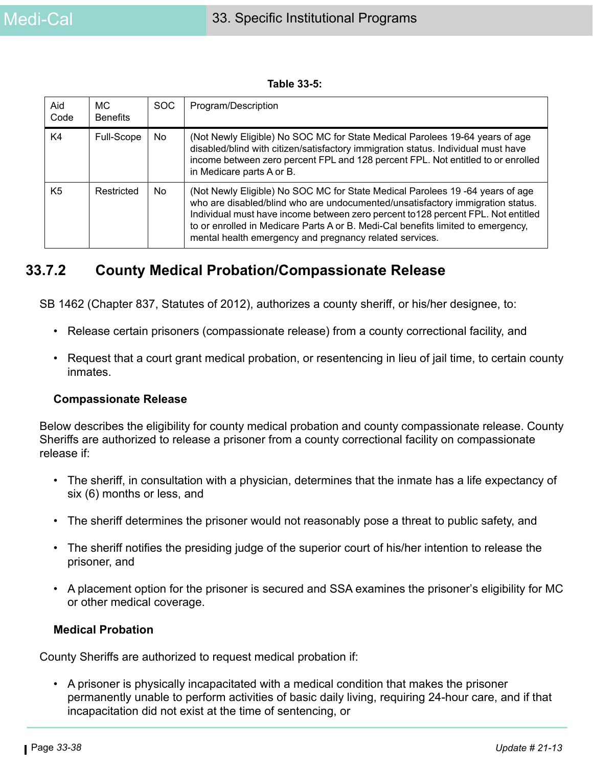**Table 33-5:** 

| Aid<br>Code    | MC.<br><b>Benefits</b> | SOC. | Program/Description                                                                                                                                                                                                                                                                                                                                                                                 |
|----------------|------------------------|------|-----------------------------------------------------------------------------------------------------------------------------------------------------------------------------------------------------------------------------------------------------------------------------------------------------------------------------------------------------------------------------------------------------|
| K4             | Full-Scope             | No   | (Not Newly Eligible) No SOC MC for State Medical Parolees 19-64 years of age<br>disabled/blind with citizen/satisfactory immigration status. Individual must have<br>income between zero percent FPL and 128 percent FPL. Not entitled to or enrolled<br>in Medicare parts A or B.                                                                                                                  |
| K <sub>5</sub> | Restricted             | No.  | (Not Newly Eligible) No SOC MC for State Medical Parolees 19 -64 years of age<br>who are disabled/blind who are undocumented/unsatisfactory immigration status.<br>Individual must have income between zero percent to 128 percent FPL. Not entitled<br>to or enrolled in Medicare Parts A or B. Medi-Cal benefits limited to emergency,<br>mental health emergency and pregnancy related services. |

### **33.7.2 County Medical Probation/Compassionate Release**

SB 1462 (Chapter 837, Statutes of 2012), authorizes a county sheriff, or his/her designee, to:

- Release certain prisoners (compassionate release) from a county correctional facility, and
- Request that a court grant medical probation, or resentencing in lieu of jail time, to certain county inmates.

#### **Compassionate Release**

Below describes the eligibility for county medical probation and county compassionate release. County Sheriffs are authorized to release a prisoner from a county correctional facility on compassionate release if:

- The sheriff, in consultation with a physician, determines that the inmate has a life expectancy of six (6) months or less, and
- The sheriff determines the prisoner would not reasonably pose a threat to public safety, and
- The sheriff notifies the presiding judge of the superior court of his/her intention to release the prisoner, and
- A placement option for the prisoner is secured and SSA examines the prisoner's eligibility for MC or other medical coverage.

#### **Medical Probation**

County Sheriffs are authorized to request medical probation if:

• A prisoner is physically incapacitated with a medical condition that makes the prisoner permanently unable to perform activities of basic daily living, requiring 24-hour care, and if that incapacitation did not exist at the time of sentencing, or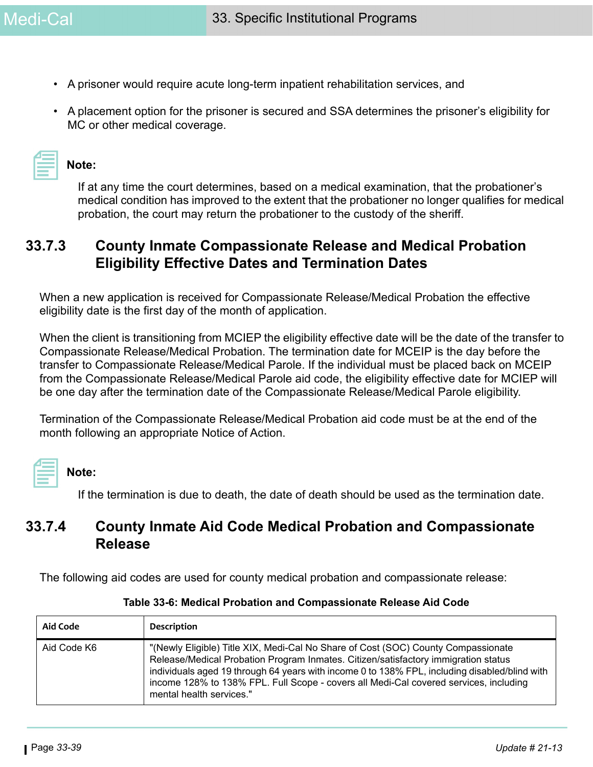- A prisoner would require acute long-term inpatient rehabilitation services, and
- A placement option for the prisoner is secured and SSA determines the prisoner's eligibility for MC or other medical coverage.

| Note: |  |
|-------|--|
|-------|--|

If at any time the court determines, based on a medical examination, that the probationer's medical condition has improved to the extent that the probationer no longer qualifies for medical probation, the court may return the probationer to the custody of the sheriff.

### **33.7.3 County Inmate Compassionate Release and Medical Probation Eligibility Effective Dates and Termination Dates**

When a new application is received for Compassionate Release/Medical Probation the effective eligibility date is the first day of the month of application.

When the client is transitioning from MCIEP the eligibility effective date will be the date of the transfer to Compassionate Release/Medical Probation. The termination date for MCEIP is the day before the transfer to Compassionate Release/Medical Parole. If the individual must be placed back on MCEIP from the Compassionate Release/Medical Parole aid code, the eligibility effective date for MCIEP will be one day after the termination date of the Compassionate Release/Medical Parole eligibility.

Termination of the Compassionate Release/Medical Probation aid code must be at the end of the month following an appropriate Notice of Action.

# **Note:**

If the termination is due to death, the date of death should be used as the termination date.

### **33.7.4 County Inmate Aid Code Medical Probation and Compassionate Release**

The following aid codes are used for county medical probation and compassionate release:

| Aid Code    | Description                                                                                                                                                                                                                                                                                                                                                                                   |
|-------------|-----------------------------------------------------------------------------------------------------------------------------------------------------------------------------------------------------------------------------------------------------------------------------------------------------------------------------------------------------------------------------------------------|
| Aid Code K6 | "(Newly Eligible) Title XIX, Medi-Cal No Share of Cost (SOC) County Compassionate<br>Release/Medical Probation Program Inmates. Citizen/satisfactory immigration status<br>individuals aged 19 through 64 years with income 0 to 138% FPL, including disabled/blind with<br>income 128% to 138% FPL. Full Scope - covers all Medi-Cal covered services, including<br>mental health services." |

#### **Table 33-6: Medical Probation and Compassionate Release Aid Code**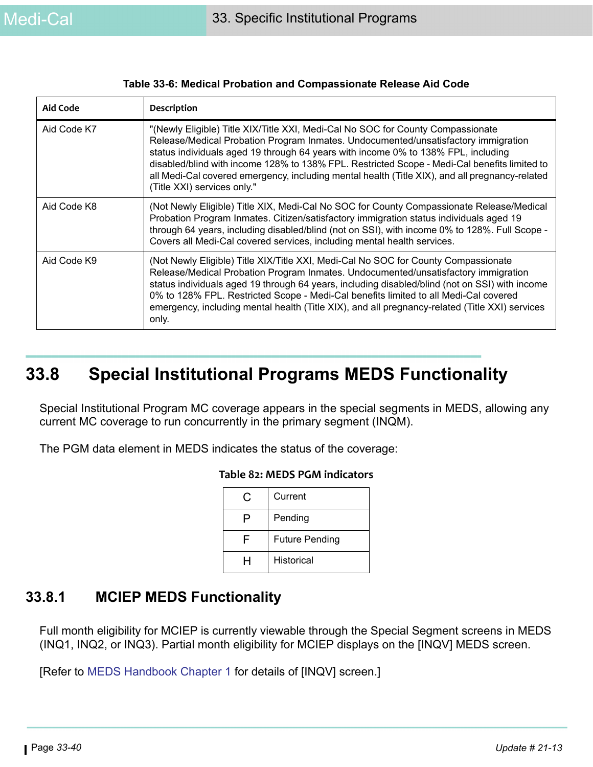| <b>Aid Code</b> | <b>Description</b>                                                                                                                                                                                                                                                                                                                                                                                                                                                                          |
|-----------------|---------------------------------------------------------------------------------------------------------------------------------------------------------------------------------------------------------------------------------------------------------------------------------------------------------------------------------------------------------------------------------------------------------------------------------------------------------------------------------------------|
| Aid Code K7     | "(Newly Eligible) Title XIX/Title XXI, Medi-Cal No SOC for County Compassionate<br>Release/Medical Probation Program Inmates. Undocumented/unsatisfactory immigration<br>status individuals aged 19 through 64 years with income 0% to 138% FPL, including<br>disabled/blind with income 128% to 138% FPL. Restricted Scope - Medi-Cal benefits limited to<br>all Medi-Cal covered emergency, including mental health (Title XIX), and all pregnancy-related<br>(Title XXI) services only." |
| Aid Code K8     | (Not Newly Eligible) Title XIX, Medi-Cal No SOC for County Compassionate Release/Medical<br>Probation Program Inmates. Citizen/satisfactory immigration status individuals aged 19<br>through 64 years, including disabled/blind (not on SSI), with income 0% to 128%. Full Scope -<br>Covers all Medi-Cal covered services, including mental health services.                                                                                                                              |
| Aid Code K9     | (Not Newly Eligible) Title XIX/Title XXI, Medi-Cal No SOC for County Compassionate<br>Release/Medical Probation Program Inmates. Undocumented/unsatisfactory immigration<br>status individuals aged 19 through 64 years, including disabled/blind (not on SSI) with income<br>0% to 128% FPL. Restricted Scope - Medi-Cal benefits limited to all Medi-Cal covered<br>emergency, including mental health (Title XIX), and all pregnancy-related (Title XXI) services<br>only.               |

#### **Table 33-6: Medical Probation and Compassionate Release Aid Code**

# **33.8 Special Institutional Programs MEDS Functionality**

Special Institutional Program MC coverage appears in the special segments in MEDS, allowing any current MC coverage to run concurrently in the primary segment (INQM).

The PGM data element in MEDS indicates the status of the coverage:

| $\mathbf C$ | Current               |
|-------------|-----------------------|
|             | Pending               |
|             | <b>Future Pending</b> |
|             | Historical            |

#### **Table 82: MEDS PGM indicators**

### **33.8.1 MCIEP MEDS Functionality**

Full month eligibility for MCIEP is currently viewable through the Special Segment screens in MEDS (INQ1, INQ2, or INQ3). Partial month eligibility for MCIEP displays on the [INQV] MEDS screen.

[Refer to [MEDS Handbook Chapter 1](https://ssaconnect.sccgov.org/ssa_departments/debs_program/Documents/handbooks/ugss/ugchap01.pdf) for details of [INQV] screen.]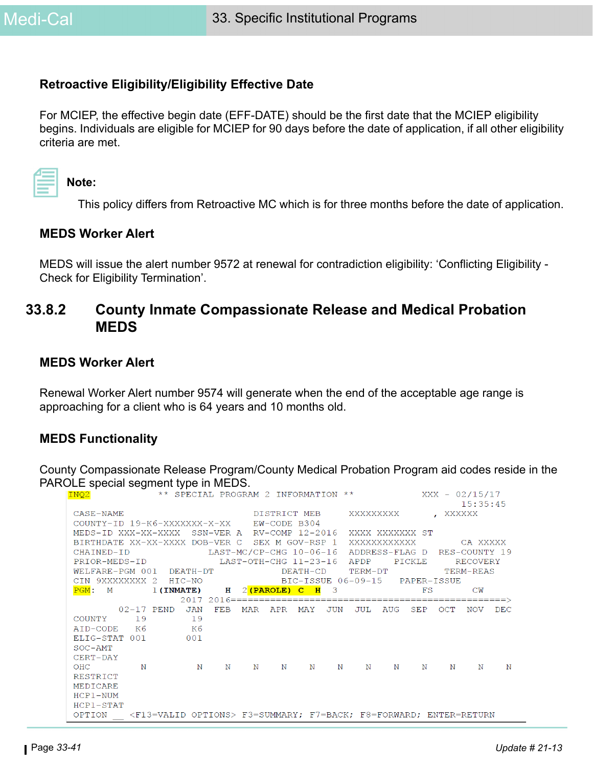#### **Retroactive Eligibility/Eligibility Effective Date**

For MCIEP, the effective begin date (EFF-DATE) should be the first date that the MCIEP eligibility begins. Individuals are eligible for MCIEP for 90 days before the date of application, if all other eligibility criteria are met.

|  | Note: |
|--|-------|
|--|-------|

This policy differs from Retroactive MC which is for three months before the date of application.

#### **MEDS Worker Alert**

MEDS will issue the alert number 9572 at renewal for contradiction eligibility: 'Conflicting Eligibility - Check for Eligibility Termination'.

### **33.8.2 County Inmate Compassionate Release and Medical Probation MEDS**

#### **MEDS Worker Alert**

Renewal Worker Alert number 9574 will generate when the end of the acceptable age range is approaching for a client who is 64 years and 10 months old.

#### **MEDS Functionality**

County Compassionate Release Program/County Medical Probation Program aid codes reside in the PAROLE special segment type in MEDS.

| INQ2                                                                                    |   | ** SPECIAL PROGRAM 2 INFORMATION ** $\overline{XXX}$ - 02/15/17 |                        |     |       |  |                            |             |            |          |            |             |
|-----------------------------------------------------------------------------------------|---|-----------------------------------------------------------------|------------------------|-----|-------|--|----------------------------|-------------|------------|----------|------------|-------------|
|                                                                                         |   |                                                                 |                        |     |       |  |                            |             |            |          | 15:35:45   |             |
| CASE-NAME                                                                               |   |                                                                 | DISTRICT MEB XXXXXXXXX |     |       |  |                            |             |            | , XXXXXX |            |             |
| COUNTY-ID 19-K6-XXXXXXX-X-XX EW-CODE B304                                               |   |                                                                 |                        |     |       |  |                            |             |            |          |            |             |
| MEDS-ID XXX-XX-XXXX SSN-VER A RV-COMP 12-2016 XXXX XXXXXXX ST                           |   |                                                                 |                        |     |       |  |                            |             |            |          |            |             |
| BIRTHDATE XX-XX-XXXX DOB-VER C SEX M GOV-RSP 1 XXXXXXXXXXXX CA XXXXX                    |   |                                                                 |                        |     |       |  |                            |             |            |          |            |             |
| CHAINED-ID CHAINED-ID LAST-MC/CP-CHG 10-06-16 ADDRESS-FLAG D RES-COUNTY 19              |   |                                                                 |                        |     |       |  |                            |             |            |          |            |             |
| PRIOR-MEDS-ID LAST-OTH-CHG 11-23-16 APDP PICKLE RECOVERY                                |   |                                                                 |                        |     |       |  |                            |             |            |          |            |             |
| WELFARE-PGM 001 DEATH-DT                                                                |   |                                                                 |                        |     |       |  | DEATH-CD TERM-DT TERM-REAS |             |            |          |            |             |
| CIN 9XXXXXXXX 2 HIC-NO BIC-ISSUE 06-09-15 PAPER-ISSUE                                   |   |                                                                 |                        |     |       |  |                            |             |            |          |            |             |
| PGM: M 1(INMATE) H 2(PAROLE) C H 3 FS                                                   |   |                                                                 |                        |     |       |  |                            |             |            |          | CW         |             |
|                                                                                         |   |                                                                 |                        |     |       |  |                            |             |            |          |            |             |
|                                                                                         |   | 02-17 PEND JAN FEB MAR APR MAY JUN                              |                        |     |       |  |                            | JUL AUG SEP |            | OCT      | <b>NOV</b> | <b>DEC</b>  |
| COUNTY 19                                                                               |   | 19                                                              |                        |     |       |  |                            |             |            |          |            |             |
| AID-CODE K6                                                                             |   | K6                                                              |                        |     |       |  |                            |             |            |          |            |             |
| ELIG-STAT 001                                                                           |   | 001                                                             |                        |     |       |  |                            |             |            |          |            |             |
| $SOC-AMT$                                                                               |   |                                                                 |                        |     |       |  |                            |             |            |          |            |             |
| CERT-DAY                                                                                |   |                                                                 |                        |     |       |  |                            |             |            |          |            |             |
| OHC                                                                                     | N | $\mathbb N$                                                     |                        | N N | N N N |  |                            | N N         | $_{\rm N}$ | N        | N          | $\mathbf N$ |
| RESTRICT                                                                                |   |                                                                 |                        |     |       |  |                            |             |            |          |            |             |
| MEDICARE                                                                                |   |                                                                 |                        |     |       |  |                            |             |            |          |            |             |
| HCP1-NUM                                                                                |   |                                                                 |                        |     |       |  |                            |             |            |          |            |             |
| $HCP1-STAT$                                                                             |   |                                                                 |                        |     |       |  |                            |             |            |          |            |             |
| OPTION <f13=valid options=""> F3=SUMMARY; F7=BACK; F8=FORWARD; ENTER=RETURN</f13=valid> |   |                                                                 |                        |     |       |  |                            |             |            |          |            |             |
|                                                                                         |   |                                                                 |                        |     |       |  |                            |             |            |          |            |             |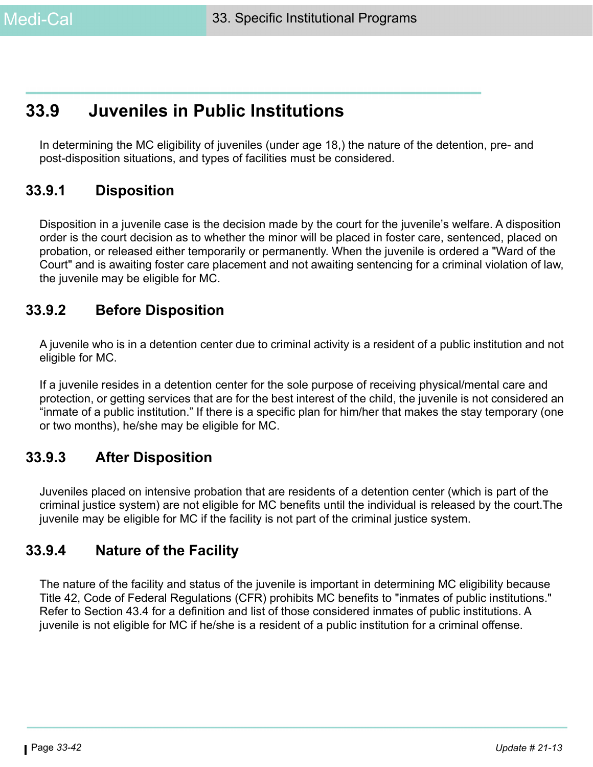# **33.9 Juveniles in Public Institutions**

In determining the MC eligibility of juveniles (under age 18,) the nature of the detention, pre- and post-disposition situations, and types of facilities must be considered.

### **33.9.1 Disposition**

Disposition in a juvenile case is the decision made by the court for the juvenile's welfare. A disposition order is the court decision as to whether the minor will be placed in foster care, sentenced, placed on probation, or released either temporarily or permanently. When the juvenile is ordered a "Ward of the Court" and is awaiting foster care placement and not awaiting sentencing for a criminal violation of law, the juvenile may be eligible for MC.

### **33.9.2 Before Disposition**

A juvenile who is in a detention center due to criminal activity is a resident of a public institution and not eligible for MC.

If a juvenile resides in a detention center for the sole purpose of receiving physical/mental care and protection, or getting services that are for the best interest of the child, the juvenile is not considered an "inmate of a public institution." If there is a specific plan for him/her that makes the stay temporary (one or two months), he/she may be eligible for MC.

### **33.9.3 After Disposition**

Juveniles placed on intensive probation that are residents of a detention center (which is part of the criminal justice system) are not eligible for MC benefits until the individual is released by the court.The juvenile may be eligible for MC if the facility is not part of the criminal justice system.

### **33.9.4 Nature of the Facility**

The nature of the facility and status of the juvenile is important in determining MC eligibility because Title 42, Code of Federal Regulations (CFR) prohibits MC benefits to "inmates of public institutions." Refer to Section 43.4 for a definition and list of those considered inmates of public institutions. A juvenile is not eligible for MC if he/she is a resident of a public institution for a criminal offense.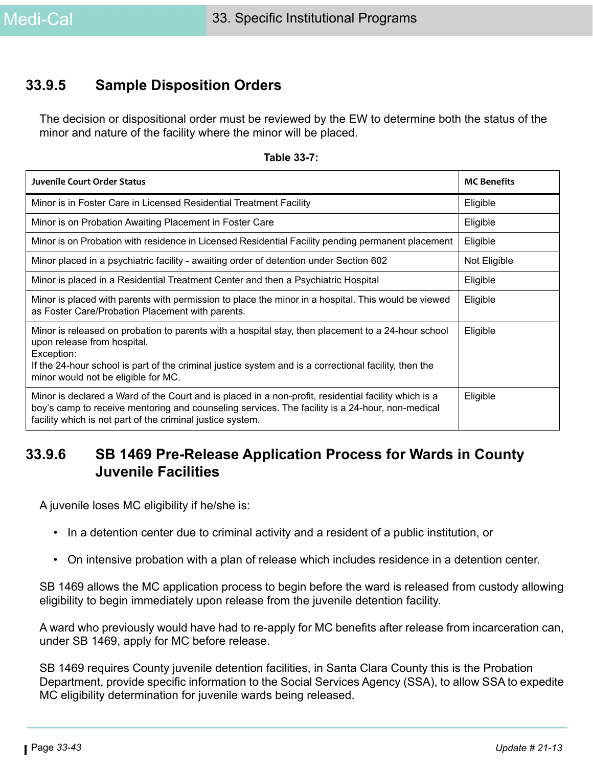### **33.9.5 Sample Disposition Orders**

The decision or dispositional order must be reviewed by the EW to determine both the status of the minor and nature of the facility where the minor will be placed.

| <b>Juvenile Court Order Status</b>                                                                                                                                                                                                                                                              | <b>MC Benefits</b> |
|-------------------------------------------------------------------------------------------------------------------------------------------------------------------------------------------------------------------------------------------------------------------------------------------------|--------------------|
| Minor is in Foster Care in Licensed Residential Treatment Facility                                                                                                                                                                                                                              | Eligible           |
| Minor is on Probation Awaiting Placement in Foster Care                                                                                                                                                                                                                                         | Eligible           |
| Minor is on Probation with residence in Licensed Residential Facility pending permanent placement                                                                                                                                                                                               | Eligible           |
| Minor placed in a psychiatric facility - awaiting order of detention under Section 602                                                                                                                                                                                                          | Not Eligible       |
| Minor is placed in a Residential Treatment Center and then a Psychiatric Hospital                                                                                                                                                                                                               | Eligible           |
| Minor is placed with parents with permission to place the minor in a hospital. This would be viewed<br>as Foster Care/Probation Placement with parents.                                                                                                                                         | Eligible           |
| Minor is released on probation to parents with a hospital stay, then placement to a 24-hour school<br>upon release from hospital.<br>Exception:<br>If the 24-hour school is part of the criminal justice system and is a correctional facility, then the<br>minor would not be eligible for MC. | Eligible           |
| Minor is declared a Ward of the Court and is placed in a non-profit, residential facility which is a<br>boy's camp to receive mentoring and counseling services. The facility is a 24-hour, non-medical<br>facility which is not part of the criminal justice system.                           | Eligible           |

#### **Table 33-7:**

### **33.9.6 SB 1469 Pre-Release Application Process for Wards in County Juvenile Facilities**

A juvenile loses MC eligibility if he/she is:

- In a detention center due to criminal activity and a resident of a public institution, or
- On intensive probation with a plan of release which includes residence in a detention center.

SB 1469 allows the MC application process to begin before the ward is released from custody allowing eligibility to begin immediately upon release from the juvenile detention facility.

A ward who previously would have had to re-apply for MC benefits after release from incarceration can, under SB 1469, apply for MC before release.

SB 1469 requires County juvenile detention facilities, in Santa Clara County this is the Probation Department, provide specific information to the Social Services Agency (SSA), to allow SSA to expedite MC eligibility determination for juvenile wards being released.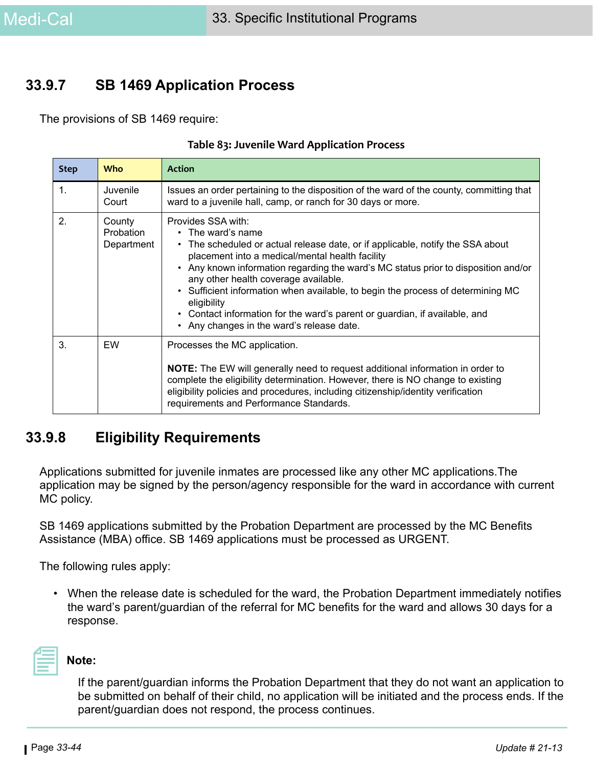### **33.9.7 SB 1469 Application Process**

The provisions of SB 1469 require:

| <b>Step</b>    | <b>Who</b>                               | <b>Action</b>                                                                                                                                                                                                                                                                                                                                                                                                                                                                                                                                 |
|----------------|------------------------------------------|-----------------------------------------------------------------------------------------------------------------------------------------------------------------------------------------------------------------------------------------------------------------------------------------------------------------------------------------------------------------------------------------------------------------------------------------------------------------------------------------------------------------------------------------------|
| $\mathbf{1}$ . | Juvenile<br>Court                        | Issues an order pertaining to the disposition of the ward of the county, committing that<br>ward to a juvenile hall, camp, or ranch for 30 days or more.                                                                                                                                                                                                                                                                                                                                                                                      |
| 2.             | County<br><b>Probation</b><br>Department | Provides SSA with:<br>$\cdot$ The ward's name<br>• The scheduled or actual release date, or if applicable, notify the SSA about<br>placement into a medical/mental health facility<br>• Any known information regarding the ward's MC status prior to disposition and/or<br>any other health coverage available.<br>• Sufficient information when available, to begin the process of determining MC<br>eligibility<br>• Contact information for the ward's parent or guardian, if available, and<br>• Any changes in the ward's release date. |
| 3.             | EW                                       | Processes the MC application.<br><b>NOTE:</b> The EW will generally need to request additional information in order to<br>complete the eligibility determination. However, there is NO change to existing<br>eligibility policies and procedures, including citizenship/identity verification<br>requirements and Performance Standards.                                                                                                                                                                                                      |

### **33.9.8 Eligibility Requirements**

Applications submitted for juvenile inmates are processed like any other MC applications.The application may be signed by the person/agency responsible for the ward in accordance with current MC policy.

SB 1469 applications submitted by the Probation Department are processed by the MC Benefits Assistance (MBA) office. SB 1469 applications must be processed as URGENT.

The following rules apply:

• When the release date is scheduled for the ward, the Probation Department immediately notifies the ward's parent/guardian of the referral for MC benefits for the ward and allows 30 days for a response.

**Note:** 

If the parent/guardian informs the Probation Department that they do not want an application to be submitted on behalf of their child, no application will be initiated and the process ends. If the parent/guardian does not respond, the process continues.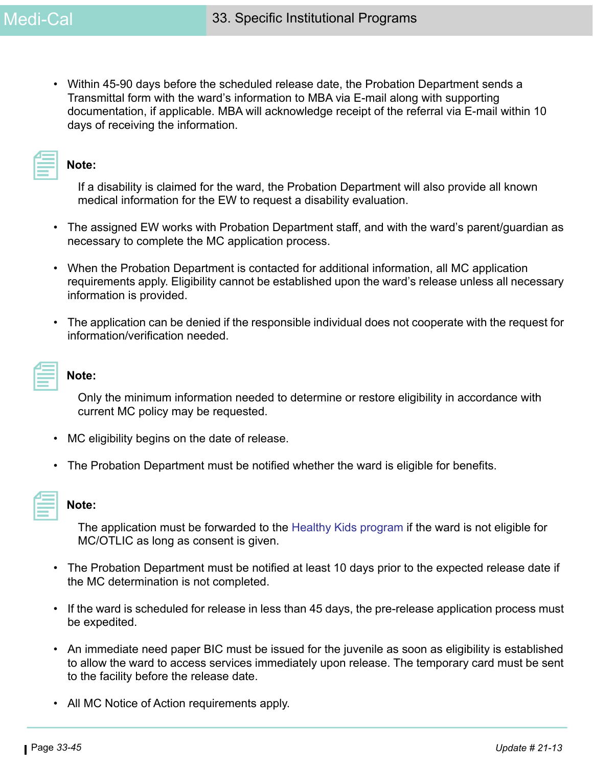• Within 45-90 days before the scheduled release date, the Probation Department sends a Transmittal form with the ward's information to MBA via E-mail along with supporting documentation, if applicable. MBA will acknowledge receipt of the referral via E-mail within 10 days of receiving the information.

| 2008년 - 대한민국의 대한민국의 대한민국의 대한민국의 대한민국의 대한민국의 대한민국의 대한민국의 대한민국의 대한민국의 대한민국의 대한민국의 대한민국의 대한민국의 대한민국의 대한민국의 대한민국의<br><b>Contract Contract Contract</b><br>$\mathcal{L}(\mathcal{L})$ and $\mathcal{L}(\mathcal{L})$ and $\mathcal{L}(\mathcal{L})$ and $\mathcal{L}(\mathcal{L})$ and $\mathcal{L}(\mathcal{L})$<br>the contract of the contract of the contract of |  |
|-----------------------------------------------------------------------------------------------------------------------------------------------------------------------------------------------------------------------------------------------------------------------------------------------------------------------------------------------------------------|--|
| _______                                                                                                                                                                                                                                                                                                                                                         |  |

#### **Note:**

If a disability is claimed for the ward, the Probation Department will also provide all known medical information for the EW to request a disability evaluation.

- The assigned EW works with Probation Department staff, and with the ward's parent/guardian as necessary to complete the MC application process.
- When the Probation Department is contacted for additional information, all MC application requirements apply. Eligibility cannot be established upon the ward's release unless all necessary information is provided.
- The application can be denied if the responsible individual does not cooperate with the request for information/verification needed.

| a sa bandar a ta 1970.<br>Tagairtí                                                                                    |
|-----------------------------------------------------------------------------------------------------------------------|
|                                                                                                                       |
|                                                                                                                       |
| 2008년 - 대한민국의 대한민국의 대한민국의 대한민국의 대한민국의 대한민국의 대한민국의 대한민국의 대한민국의 대한민국의 대한민국의 대한민국의 대한민국의 대한민국의 대한민국의 대한민국의 대한민국의         |
|                                                                                                                       |
|                                                                                                                       |
| <b>Contract Contract Contract Contract Contract Contract Contract Contract Contract Contract Contract Contract Co</b> |
|                                                                                                                       |
|                                                                                                                       |
|                                                                                                                       |
|                                                                                                                       |
|                                                                                                                       |
| _______                                                                                                               |
|                                                                                                                       |
| _______                                                                                                               |

#### **Note:**

Only the minimum information needed to determine or restore eligibility in accordance with current MC policy may be requested.

- MC eligibility begins on the date of release.
- The Probation Department must be notified whether the ward is eligible for benefits.

| __________ |  |
|------------|--|

#### **Note:**

The application must be forwarded to the Healthy Kids program if the ward is not eligible for MC/OTLIC as long as consent is given.

- The Probation Department must be notified at least 10 days prior to the expected release date if the MC determination is not completed.
- If the ward is scheduled for release in less than 45 days, the pre-release application process must be expedited.
- An immediate need paper BIC must be issued for the juvenile as soon as eligibility is established to allow the ward to access services immediately upon release. The temporary card must be sent to the facility before the release date.
- All MC Notice of Action requirements apply.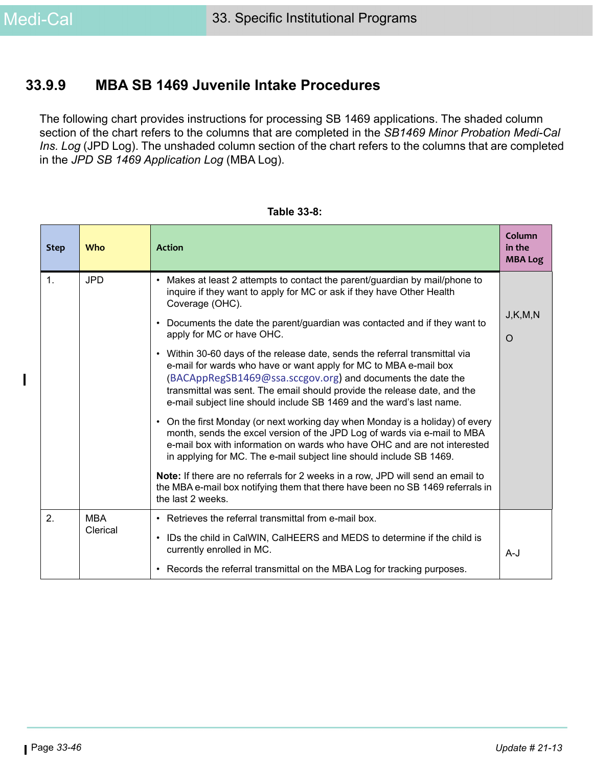### **33.9.9 MBA SB 1469 Juvenile Intake Procedures**

The following chart provides instructions for processing SB 1469 applications. The shaded column section of the chart refers to the columns that are completed in the *SB1469 Minor Probation Medi-Cal Ins. Log* (JPD Log). The unshaded column section of the chart refers to the columns that are completed in the *JPD SB 1469 Application Log* (MBA Log).

| <b>Step</b>    | <b>Who</b> | <b>Action</b>                                                                                                                                                                                                                                                                                                                                                      | Column<br>in the<br><b>MBA Log</b> |  |
|----------------|------------|--------------------------------------------------------------------------------------------------------------------------------------------------------------------------------------------------------------------------------------------------------------------------------------------------------------------------------------------------------------------|------------------------------------|--|
| $\mathbf{1}$ . | <b>JPD</b> | Makes at least 2 attempts to contact the parent/guardian by mail/phone to<br>$\bullet$<br>inquire if they want to apply for MC or ask if they have Other Health<br>Coverage (OHC).                                                                                                                                                                                 | J,K,M,N                            |  |
|                |            | Documents the date the parent/guardian was contacted and if they want to<br>$\bullet$<br>apply for MC or have OHC.                                                                                                                                                                                                                                                 |                                    |  |
|                |            | • Within 30-60 days of the release date, sends the referral transmittal via<br>e-mail for wards who have or want apply for MC to MBA e-mail box<br>(BACAppRegSB1469@ssa.sccgov.org) and documents the date the<br>transmittal was sent. The email should provide the release date, and the<br>e-mail subject line should include SB 1469 and the ward's last name. |                                    |  |
|                |            | On the first Monday (or next working day when Monday is a holiday) of every<br>$\bullet$<br>month, sends the excel version of the JPD Log of wards via e-mail to MBA<br>e-mail box with information on wards who have OHC and are not interested<br>in applying for MC. The e-mail subject line should include SB 1469.                                            |                                    |  |
|                |            | Note: If there are no referrals for 2 weeks in a row, JPD will send an email to<br>the MBA e-mail box notifying them that there have been no SB 1469 referrals in<br>the last 2 weeks.                                                                                                                                                                             |                                    |  |
| 2.             | <b>MBA</b> | • Retrieves the referral transmittal from e-mail box.                                                                                                                                                                                                                                                                                                              |                                    |  |
|                | Clerical   | IDs the child in CalWIN, CalHEERS and MEDS to determine if the child is<br>$\bullet$<br>currently enrolled in MC.                                                                                                                                                                                                                                                  | $A-J$                              |  |
|                |            | • Records the referral transmittal on the MBA Log for tracking purposes.                                                                                                                                                                                                                                                                                           |                                    |  |

| Table 33-8: |  |  |
|-------------|--|--|
|             |  |  |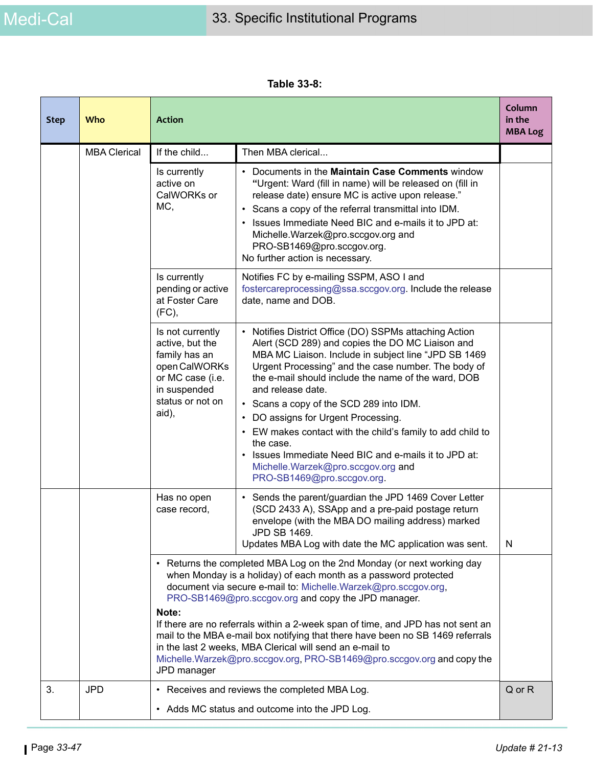**Table 33-8:** 

| <b>Step</b> | Who                 | <b>Action</b>                                                                                                                          |                                                                                                                                                                                                                                                                                                                                                                                                                                                                                                                                                                                                                                     | Column<br>in the<br><b>MBA Log</b> |
|-------------|---------------------|----------------------------------------------------------------------------------------------------------------------------------------|-------------------------------------------------------------------------------------------------------------------------------------------------------------------------------------------------------------------------------------------------------------------------------------------------------------------------------------------------------------------------------------------------------------------------------------------------------------------------------------------------------------------------------------------------------------------------------------------------------------------------------------|------------------------------------|
|             | <b>MBA Clerical</b> | If the child                                                                                                                           | Then MBA clerical                                                                                                                                                                                                                                                                                                                                                                                                                                                                                                                                                                                                                   |                                    |
|             |                     | Is currently<br>active on<br>CalWORKs or<br>MC,                                                                                        | Documents in the <b>Maintain Case Comments</b> window<br>$\bullet$<br>"Urgent: Ward (fill in name) will be released on (fill in<br>release date) ensure MC is active upon release."<br>Scans a copy of the referral transmittal into IDM.<br>Issues Immediate Need BIC and e-mails it to JPD at:<br>$\bullet$<br>Michelle.Warzek@pro.sccgov.org and<br>PRO-SB1469@pro.sccgov.org.<br>No further action is necessary.                                                                                                                                                                                                                |                                    |
|             |                     | Is currently<br>pending or active<br>at Foster Care<br>(FC),                                                                           | Notifies FC by e-mailing SSPM, ASO I and<br>fostercareprocessing@ssa.sccgov.org. Include the release<br>date, name and DOB.                                                                                                                                                                                                                                                                                                                                                                                                                                                                                                         |                                    |
|             |                     | Is not currently<br>active, but the<br>family has an<br>open CalWORKs<br>or MC case (i.e.<br>in suspended<br>status or not on<br>aid), | Notifies District Office (DO) SSPMs attaching Action<br>$\bullet$<br>Alert (SCD 289) and copies the DO MC Liaison and<br>MBA MC Liaison. Include in subject line "JPD SB 1469<br>Urgent Processing" and the case number. The body of<br>the e-mail should include the name of the ward, DOB<br>and release date.<br>• Scans a copy of the SCD 289 into IDM.<br>DO assigns for Urgent Processing.<br>٠<br>EW makes contact with the child's family to add child to<br>$\bullet$<br>the case.<br>Issues Immediate Need BIC and e-mails it to JPD at:<br>$\bullet$<br>Michelle.Warzek@pro.sccgov.org and<br>PRO-SB1469@pro.sccgov.org. |                                    |
|             |                     | Has no open<br>case record,                                                                                                            | Sends the parent/guardian the JPD 1469 Cover Letter<br>(SCD 2433 A), SSApp and a pre-paid postage return<br>envelope (with the MBA DO mailing address) marked<br>JPD SB 1469.<br>Updates MBA Log with date the MC application was sent.                                                                                                                                                                                                                                                                                                                                                                                             | N                                  |
|             |                     | Note:<br>JPD manager                                                                                                                   | • Returns the completed MBA Log on the 2nd Monday (or next working day<br>when Monday is a holiday) of each month as a password protected<br>document via secure e-mail to: Michelle.Warzek@pro.sccgov.org,<br>PRO-SB1469@pro.sccgov.org and copy the JPD manager.<br>If there are no referrals within a 2-week span of time, and JPD has not sent an<br>mail to the MBA e-mail box notifying that there have been no SB 1469 referrals<br>in the last 2 weeks, MBA Clerical will send an e-mail to<br>Michelle.Warzek@pro.sccgov.org, PRO-SB1469@pro.sccgov.org and copy the                                                       |                                    |
| 3.          | <b>JPD</b>          |                                                                                                                                        | • Receives and reviews the completed MBA Log.<br>• Adds MC status and outcome into the JPD Log.                                                                                                                                                                                                                                                                                                                                                                                                                                                                                                                                     | Q or R                             |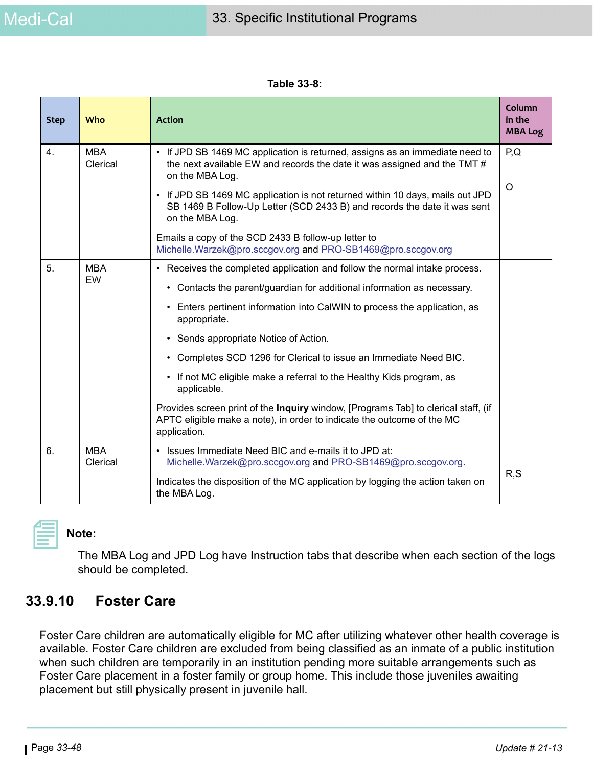| Table 33-8: |  |
|-------------|--|
|-------------|--|

| <b>Step</b> | Who                    | <b>Action</b>                                                                                                                                                                | Column<br>in the<br><b>MBA Log</b> |  |
|-------------|------------------------|------------------------------------------------------------------------------------------------------------------------------------------------------------------------------|------------------------------------|--|
| 4.          | <b>MBA</b><br>Clerical | • If JPD SB 1469 MC application is returned, assigns as an immediate need to<br>the next available EW and records the date it was assigned and the TMT #<br>on the MBA Log.  | P,Q                                |  |
|             |                        | • If JPD SB 1469 MC application is not returned within 10 days, mails out JPD<br>SB 1469 B Follow-Up Letter (SCD 2433 B) and records the date it was sent<br>on the MBA Log. | O                                  |  |
|             |                        | Emails a copy of the SCD 2433 B follow-up letter to<br>Michelle.Warzek@pro.sccgov.org and PRO-SB1469@pro.sccgov.org                                                          |                                    |  |
| 5.          | <b>MBA</b>             | • Receives the completed application and follow the normal intake process.                                                                                                   |                                    |  |
|             | EW                     | • Contacts the parent/guardian for additional information as necessary.                                                                                                      |                                    |  |
|             |                        | Enters pertinent information into CalWIN to process the application, as<br>appropriate.                                                                                      |                                    |  |
|             |                        | • Sends appropriate Notice of Action.                                                                                                                                        |                                    |  |
|             |                        | • Completes SCD 1296 for Clerical to issue an Immediate Need BIC.                                                                                                            |                                    |  |
|             |                        | • If not MC eligible make a referral to the Healthy Kids program, as<br>applicable.                                                                                          |                                    |  |
|             |                        | Provides screen print of the Inquiry window, [Programs Tab] to clerical staff, (if<br>APTC eligible make a note), in order to indicate the outcome of the MC<br>application. |                                    |  |
| 6.          | <b>MBA</b><br>Clerical | • Issues Immediate Need BIC and e-mails it to JPD at:<br>Michelle.Warzek@pro.sccgov.org and PRO-SB1469@pro.sccgov.org.                                                       |                                    |  |
|             |                        | Indicates the disposition of the MC application by logging the action taken on<br>the MBA Log.                                                                               | R, S                               |  |

### **Note:**

The MBA Log and JPD Log have Instruction tabs that describe when each section of the logs should be completed.

### **33.9.10 Foster Care**

Foster Care children are automatically eligible for MC after utilizing whatever other health coverage is available. Foster Care children are excluded from being classified as an inmate of a public institution when such children are temporarily in an institution pending more suitable arrangements such as Foster Care placement in a foster family or group home. This include those juveniles awaiting placement but still physically present in juvenile hall.